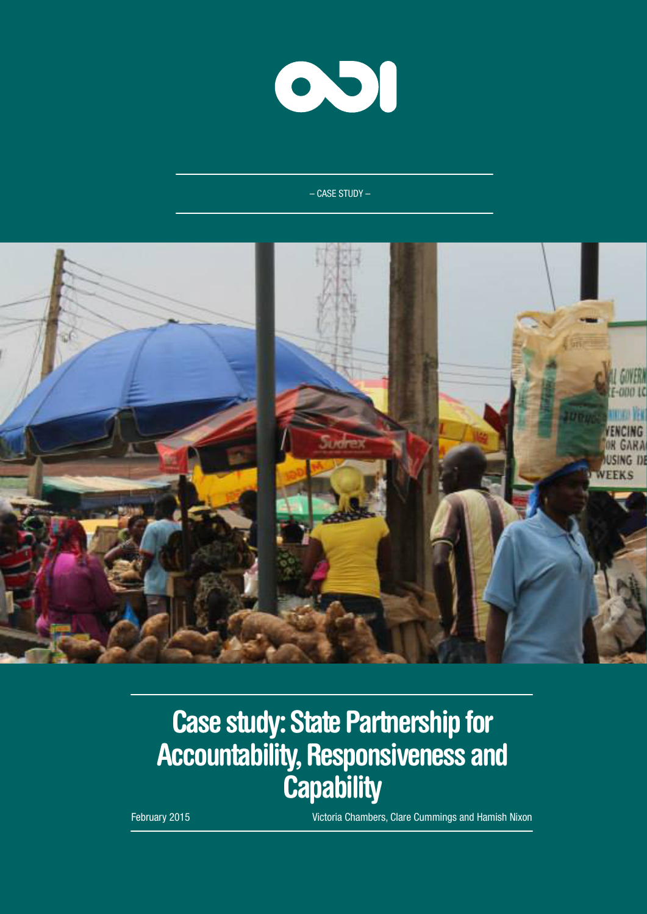

– CASE STUDY –



# Case study: State Partnership for Accountability, Responsiveness and **Capability**

February 2015 Victoria Chambers, Clare Cummings and Hamish Nixon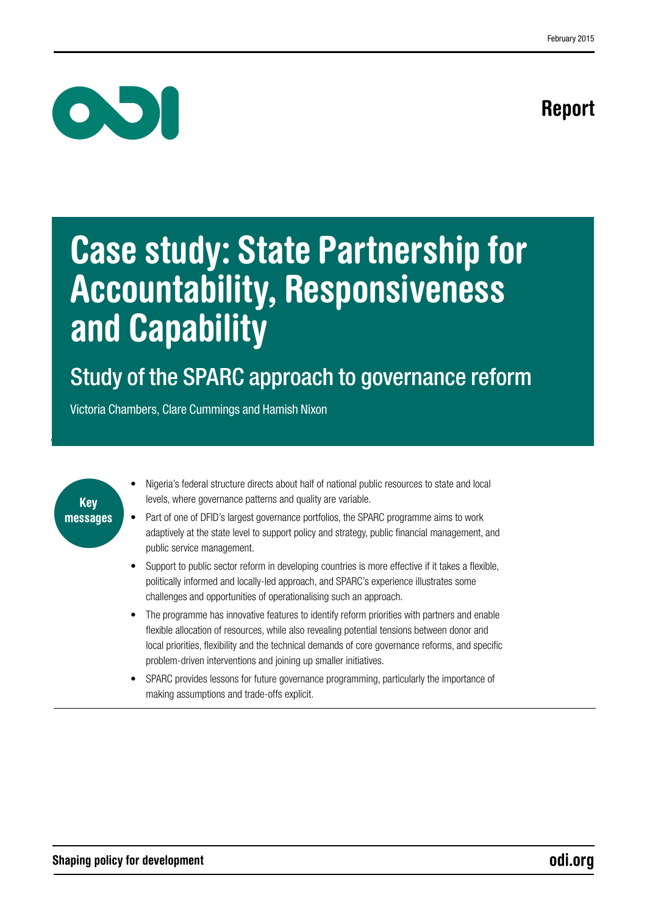# Report



# Case study: State Partnership for Accountability, Responsiveness and Capability

# Study of the SPARC approach to governance reform

Victoria Chambers, Clare Cummings and Hamish Nixon



- Nigeria's federal structure directs about half of national public resources to state and local levels, where governance patterns and quality are variable.
- Part of one of DFID's largest governance portfolios, the SPARC programme aims to work adaptively at the state level to support policy and strategy, public financial management, and public service management.
- Support to public sector reform in developing countries is more effective if it takes a flexible, politically informed and locally-led approach, and SPARC's experience illustrates some challenges and opportunities of operationalising such an approach.
- The programme has innovative features to identify reform priorities with partners and enable flexible allocation of resources, while also revealing potential tensions between donor and local priorities, flexibility and the technical demands of core governance reforms, and specific problem-driven interventions and joining up smaller initiatives.
- SPARC provides lessons for future governance programming, particularly the importance of making assumptions and trade-offs explicit.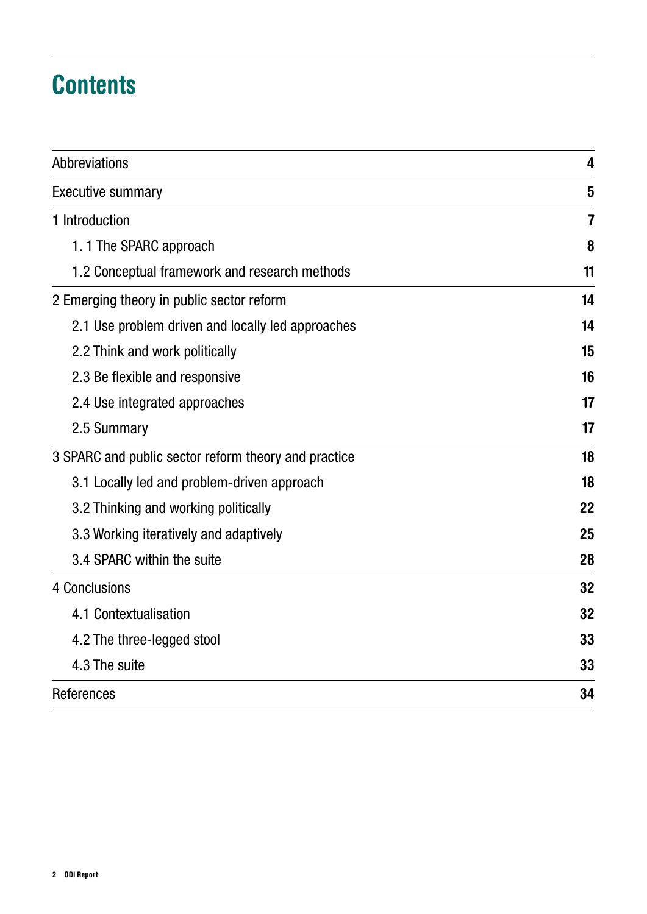# **Contents**

| Abbreviations                                        | 4  |
|------------------------------------------------------|----|
| <b>Executive summary</b>                             | 5  |
| 1 Introduction                                       | 7  |
| 1.1 The SPARC approach                               | 8  |
| 1.2 Conceptual framework and research methods        | 11 |
| 2 Emerging theory in public sector reform            | 14 |
| 2.1 Use problem driven and locally led approaches    | 14 |
| 2.2 Think and work politically                       | 15 |
| 2.3 Be flexible and responsive                       | 16 |
| 2.4 Use integrated approaches                        | 17 |
| 2.5 Summary                                          | 17 |
| 3 SPARC and public sector reform theory and practice | 18 |
| 3.1 Locally led and problem-driven approach          | 18 |
| 3.2 Thinking and working politically                 | 22 |
| 3.3 Working iteratively and adaptively               | 25 |
| 3.4 SPARC within the suite                           | 28 |
| 4 Conclusions                                        | 32 |
| 4.1 Contextualisation                                | 32 |
| 4.2 The three-legged stool                           | 33 |
| 4.3 The suite                                        | 33 |
| References                                           |    |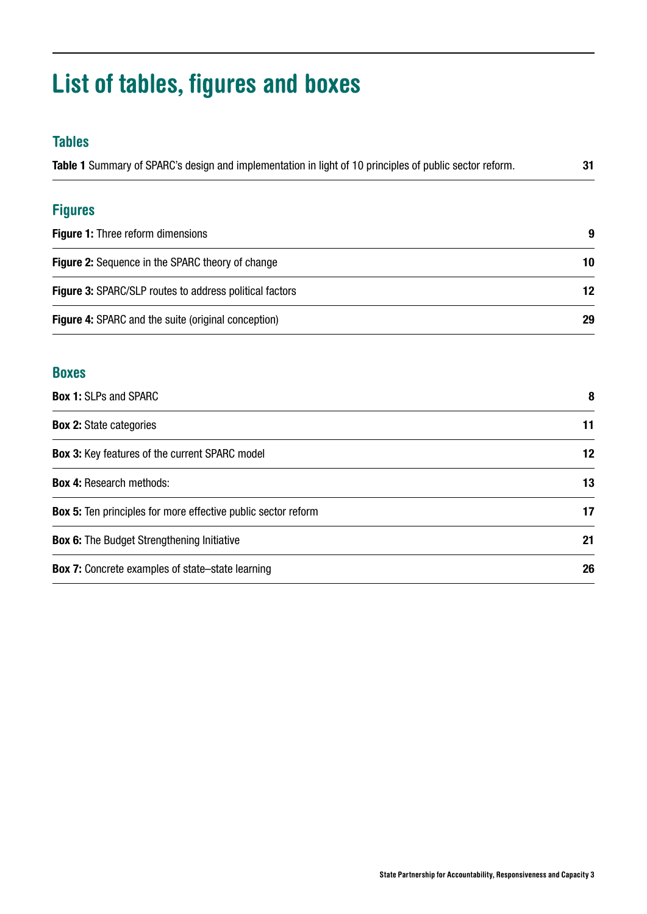# List of tables, figures and boxes

# Tables

| Table 1 Summary of SPARC's design and implementation in light of 10 principles of public sector reform. |    |
|---------------------------------------------------------------------------------------------------------|----|
| <b>Figures</b>                                                                                          |    |
| <b>Figure 1: Three reform dimensions</b>                                                                | 9  |
| <b>Figure 2:</b> Sequence in the SPARC theory of change                                                 | 10 |
| <b>Figure 3: SPARC/SLP routes to address political factors</b>                                          | 12 |
| <b>Figure 4:</b> SPARC and the suite (original conception)                                              |    |

# Boxes

| <b>Box 1: SLPs and SPARC</b>                                         | 8  |
|----------------------------------------------------------------------|----|
| <b>Box 2: State categories</b>                                       | 11 |
| <b>Box 3: Key features of the current SPARC model</b>                | 12 |
| <b>Box 4: Research methods:</b>                                      | 13 |
| <b>Box 5:</b> Ten principles for more effective public sector reform | 17 |
| <b>Box 6:</b> The Budget Strengthening Initiative                    | 21 |
| <b>Box 7:</b> Concrete examples of state–state learning              | 26 |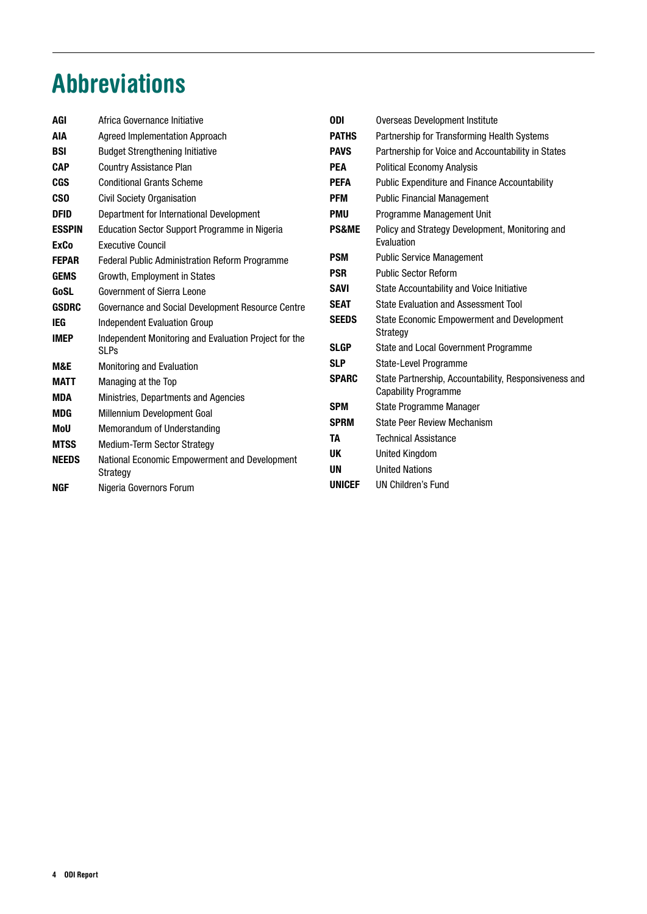# <span id="page-4-0"></span>Abbreviations

| AGI           | Africa Governance Initiative                                         | <b>ODI</b>       | Overseas Development Institute                        |
|---------------|----------------------------------------------------------------------|------------------|-------------------------------------------------------|
| AIA           | <b>Agreed Implementation Approach</b>                                | <b>PATHS</b>     | Partnership for Transforming Health Systems           |
| <b>BSI</b>    | <b>Budget Strengthening Initiative</b>                               | <b>PAVS</b>      | Partnership for Voice and Accountability in States    |
| <b>CAP</b>    | <b>Country Assistance Plan</b>                                       | <b>PEA</b>       | <b>Political Economy Analysis</b>                     |
| <b>CGS</b>    | <b>Conditional Grants Scheme</b>                                     | <b>PEFA</b>      | <b>Public Expenditure and Finance Accountability</b>  |
| <b>CSO</b>    | <b>Civil Society Organisation</b>                                    | <b>PFM</b>       | <b>Public Financial Management</b>                    |
| <b>DFID</b>   | Department for International Development                             | <b>PMU</b>       | Programme Management Unit                             |
| <b>ESSPIN</b> | Education Sector Support Programme in Nigeria                        | <b>PS&amp;ME</b> | Policy and Strategy Development, Monitoring and       |
| <b>ExCo</b>   | <b>Executive Council</b>                                             |                  | Evaluation                                            |
| <b>FEPAR</b>  | Federal Public Administration Reform Programme                       | <b>PSM</b>       | <b>Public Service Management</b>                      |
| <b>GEMS</b>   | Growth, Employment in States                                         | <b>PSR</b>       | <b>Public Sector Reform</b>                           |
| GoSL          | Government of Sierra Leone                                           | <b>SAVI</b>      | State Accountability and Voice Initiative             |
| <b>GSDRC</b>  | Governance and Social Development Resource Centre                    | <b>SEAT</b>      | State Evaluation and Assessment Tool                  |
| IEG           | <b>Independent Evaluation Group</b>                                  | <b>SEEDS</b>     | State Economic Empowerment and Development            |
| <b>IMEP</b>   | Independent Monitoring and Evaluation Project for the<br><b>SLPs</b> | <b>SLGP</b>      | Strategy<br>State and Local Government Programme      |
| M&E           | <b>Monitoring and Evaluation</b>                                     | <b>SLP</b>       | State-Level Programme                                 |
| <b>MATT</b>   | Managing at the Top                                                  | <b>SPARC</b>     | State Partnership, Accountability, Responsiveness and |
| MDA           | Ministries, Departments and Agencies                                 |                  | <b>Capability Programme</b>                           |
| <b>MDG</b>    | Millennium Development Goal                                          | <b>SPM</b>       | State Programme Manager                               |
| MoU           | Memorandum of Understanding                                          | <b>SPRM</b>      | <b>State Peer Review Mechanism</b>                    |
| <b>MTSS</b>   | <b>Medium-Term Sector Strategy</b>                                   | TA               | <b>Technical Assistance</b>                           |
| <b>NEEDS</b>  | National Economic Empowerment and Development                        | UK               | <b>United Kingdom</b>                                 |
|               | Strategy                                                             | UN               | <b>United Nations</b>                                 |
| <b>NGF</b>    | Nigeria Governors Forum                                              | <b>UNICEF</b>    | <b>UN Children's Fund</b>                             |
|               |                                                                      |                  |                                                       |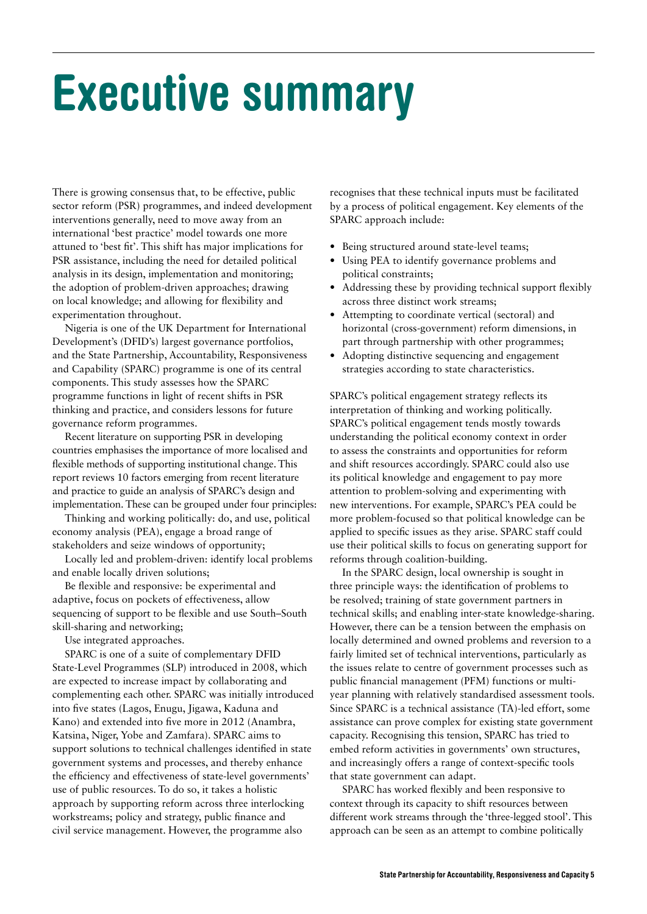# <span id="page-5-0"></span>Executive summary

There is growing consensus that, to be effective, public sector reform (PSR) programmes, and indeed development interventions generally, need to move away from an international 'best practice' model towards one more attuned to 'best fit'. This shift has major implications for PSR assistance, including the need for detailed political analysis in its design, implementation and monitoring; the adoption of problem-driven approaches; drawing on local knowledge; and allowing for flexibility and experimentation throughout.

Nigeria is one of the UK Department for International Development's (DFID's) largest governance portfolios, and the State Partnership, Accountability, Responsiveness and Capability (SPARC) programme is one of its central components. This study assesses how the SPARC programme functions in light of recent shifts in PSR thinking and practice, and considers lessons for future governance reform programmes.

Recent literature on supporting PSR in developing countries emphasises the importance of more localised and flexible methods of supporting institutional change. This report reviews 10 factors emerging from recent literature and practice to guide an analysis of SPARC's design and implementation. These can be grouped under four principles:

Thinking and working politically: do, and use, political economy analysis (PEA), engage a broad range of stakeholders and seize windows of opportunity;

Locally led and problem-driven: identify local problems and enable locally driven solutions;

Be flexible and responsive: be experimental and adaptive, focus on pockets of effectiveness, allow sequencing of support to be flexible and use South–South skill-sharing and networking;

Use integrated approaches.

SPARC is one of a suite of complementary DFID State-Level Programmes (SLP) introduced in 2008, which are expected to increase impact by collaborating and complementing each other. SPARC was initially introduced into five states (Lagos, Enugu, Jigawa, Kaduna and Kano) and extended into five more in 2012 (Anambra, Katsina, Niger, Yobe and Zamfara). SPARC aims to support solutions to technical challenges identified in state government systems and processes, and thereby enhance the efficiency and effectiveness of state-level governments' use of public resources. To do so, it takes a holistic approach by supporting reform across three interlocking workstreams; policy and strategy, public finance and civil service management. However, the programme also

recognises that these technical inputs must be facilitated by a process of political engagement. Key elements of the SPARC approach include:

- **•** Being structured around state-level teams;
- **•** Using PEA to identify governance problems and political constraints;
- **•** Addressing these by providing technical support flexibly across three distinct work streams;
- **•** Attempting to coordinate vertical (sectoral) and horizontal (cross-government) reform dimensions, in part through partnership with other programmes;
- Adopting distinctive sequencing and engagement strategies according to state characteristics.

SPARC's political engagement strategy reflects its interpretation of thinking and working politically. SPARC's political engagement tends mostly towards understanding the political economy context in order to assess the constraints and opportunities for reform and shift resources accordingly. SPARC could also use its political knowledge and engagement to pay more attention to problem-solving and experimenting with new interventions. For example, SPARC's PEA could be more problem-focused so that political knowledge can be applied to specific issues as they arise. SPARC staff could use their political skills to focus on generating support for reforms through coalition-building.

In the SPARC design, local ownership is sought in three principle ways: the identification of problems to be resolved; training of state government partners in technical skills; and enabling inter-state knowledge-sharing. However, there can be a tension between the emphasis on locally determined and owned problems and reversion to a fairly limited set of technical interventions, particularly as the issues relate to centre of government processes such as public financial management (PFM) functions or multiyear planning with relatively standardised assessment tools. Since SPARC is a technical assistance (TA)-led effort, some assistance can prove complex for existing state government capacity. Recognising this tension, SPARC has tried to embed reform activities in governments' own structures, and increasingly offers a range of context-specific tools that state government can adapt.

SPARC has worked flexibly and been responsive to context through its capacity to shift resources between different work streams through the 'three-legged stool'. This approach can be seen as an attempt to combine politically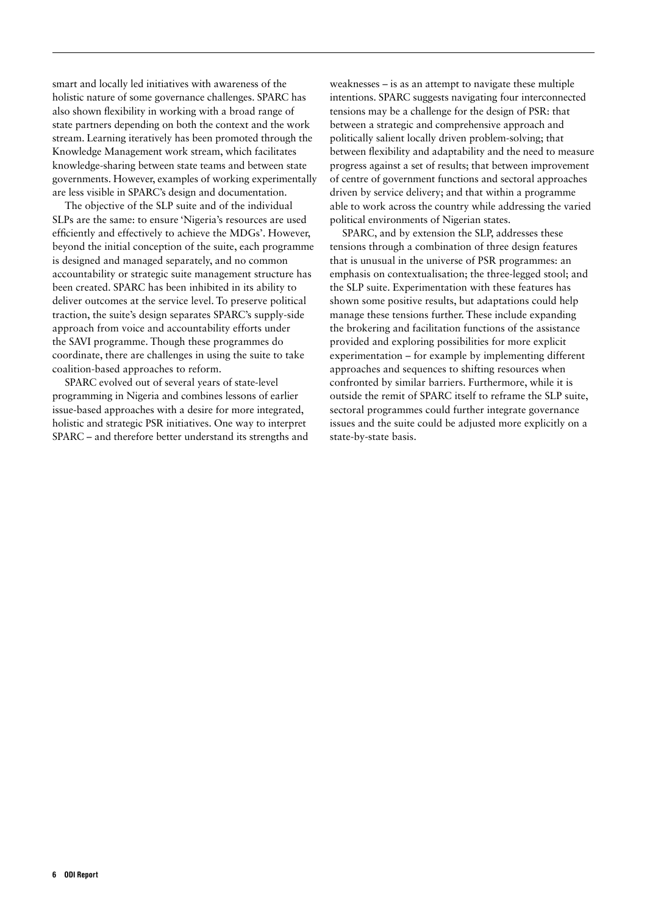smart and locally led initiatives with awareness of the holistic nature of some governance challenges. SPARC has also shown flexibility in working with a broad range of state partners depending on both the context and the work stream. Learning iteratively has been promoted through the Knowledge Management work stream, which facilitates knowledge-sharing between state teams and between state governments. However, examples of working experimentally are less visible in SPARC's design and documentation.

The objective of the SLP suite and of the individual SLPs are the same: to ensure 'Nigeria's resources are used efficiently and effectively to achieve the MDGs'. However, beyond the initial conception of the suite, each programme is designed and managed separately, and no common accountability or strategic suite management structure has been created. SPARC has been inhibited in its ability to deliver outcomes at the service level. To preserve political traction, the suite's design separates SPARC's supply-side approach from voice and accountability efforts under the SAVI programme. Though these programmes do coordinate, there are challenges in using the suite to take coalition-based approaches to reform.

SPARC evolved out of several years of state-level programming in Nigeria and combines lessons of earlier issue-based approaches with a desire for more integrated, holistic and strategic PSR initiatives. One way to interpret SPARC – and therefore better understand its strengths and

weaknesses – is as an attempt to navigate these multiple intentions. SPARC suggests navigating four interconnected tensions may be a challenge for the design of PSR: that between a strategic and comprehensive approach and politically salient locally driven problem-solving; that between flexibility and adaptability and the need to measure progress against a set of results; that between improvement of centre of government functions and sectoral approaches driven by service delivery; and that within a programme able to work across the country while addressing the varied political environments of Nigerian states.

SPARC, and by extension the SLP, addresses these tensions through a combination of three design features that is unusual in the universe of PSR programmes: an emphasis on contextualisation; the three-legged stool; and the SLP suite. Experimentation with these features has shown some positive results, but adaptations could help manage these tensions further. These include expanding the brokering and facilitation functions of the assistance provided and exploring possibilities for more explicit experimentation – for example by implementing different approaches and sequences to shifting resources when confronted by similar barriers. Furthermore, while it is outside the remit of SPARC itself to reframe the SLP suite, sectoral programmes could further integrate governance issues and the suite could be adjusted more explicitly on a state-by-state basis.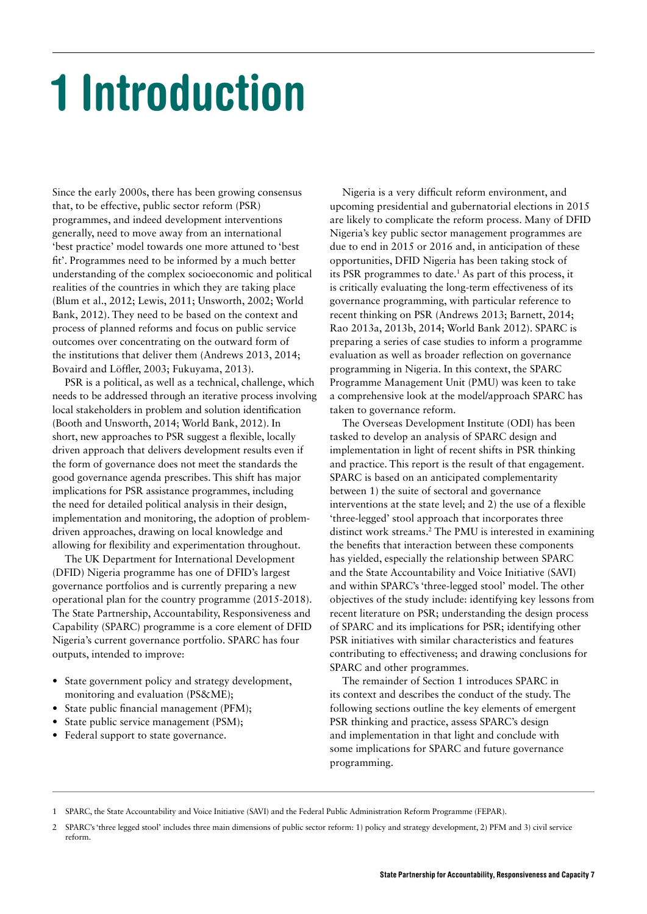# <span id="page-7-0"></span>1 Introduction

Since the early 2000s, there has been growing consensus that, to be effective, public sector reform (PSR) programmes, and indeed development interventions generally, need to move away from an international 'best practice' model towards one more attuned to 'best fit'. Programmes need to be informed by a much better understanding of the complex socioeconomic and political realities of the countries in which they are taking place (Blum et al., 2012; Lewis, 2011; Unsworth, 2002; World Bank, 2012). They need to be based on the context and process of planned reforms and focus on public service outcomes over concentrating on the outward form of the institutions that deliver them (Andrews 2013, 2014; Bovaird and Löffler, 2003; Fukuyama, 2013).

PSR is a political, as well as a technical, challenge, which needs to be addressed through an iterative process involving local stakeholders in problem and solution identification (Booth and Unsworth, 2014; World Bank, 2012). In short, new approaches to PSR suggest a flexible, locally driven approach that delivers development results even if the form of governance does not meet the standards the good governance agenda prescribes. This shift has major implications for PSR assistance programmes, including the need for detailed political analysis in their design, implementation and monitoring, the adoption of problemdriven approaches, drawing on local knowledge and allowing for flexibility and experimentation throughout.

The UK Department for International Development (DFID) Nigeria programme has one of DFID's largest governance portfolios and is currently preparing a new operational plan for the country programme (2015-2018). The State Partnership, Accountability, Responsiveness and Capability (SPARC) programme is a core element of DFID Nigeria's current governance portfolio. SPARC has four outputs, intended to improve:

- **•** State government policy and strategy development, monitoring and evaluation (PS&ME);
- **•** State public financial management (PFM);
- **•** State public service management (PSM);
- **•** Federal support to state governance.

Nigeria is a very difficult reform environment, and upcoming presidential and gubernatorial elections in 2015 are likely to complicate the reform process. Many of DFID Nigeria's key public sector management programmes are due to end in 2015 or 2016 and, in anticipation of these opportunities, DFID Nigeria has been taking stock of its PSR programmes to date.<sup>1</sup> As part of this process, it is critically evaluating the long-term effectiveness of its governance programming, with particular reference to recent thinking on PSR (Andrews 2013; Barnett, 2014; Rao 2013a, 2013b, 2014; World Bank 2012). SPARC is preparing a series of case studies to inform a programme evaluation as well as broader reflection on governance programming in Nigeria. In this context, the SPARC Programme Management Unit (PMU) was keen to take a comprehensive look at the model/approach SPARC has taken to governance reform.

The Overseas Development Institute (ODI) has been tasked to develop an analysis of SPARC design and implementation in light of recent shifts in PSR thinking and practice. This report is the result of that engagement. SPARC is based on an anticipated complementarity between 1) the suite of sectoral and governance interventions at the state level; and 2) the use of a flexible 'three-legged' stool approach that incorporates three distinct work streams.<sup>2</sup> The PMU is interested in examining the benefits that interaction between these components has yielded, especially the relationship between SPARC and the State Accountability and Voice Initiative (SAVI) and within SPARC's 'three-legged stool' model. The other objectives of the study include: identifying key lessons from recent literature on PSR; understanding the design process of SPARC and its implications for PSR; identifying other PSR initiatives with similar characteristics and features contributing to effectiveness; and drawing conclusions for SPARC and other programmes.

The remainder of Section 1 introduces SPARC in its context and describes the conduct of the study. The following sections outline the key elements of emergent PSR thinking and practice, assess SPARC's design and implementation in that light and conclude with some implications for SPARC and future governance programming.

<sup>1</sup> SPARC, the State Accountability and Voice Initiative (SAVI) and the Federal Public Administration Reform Programme (FEPAR).

<sup>2</sup> SPARC's 'three legged stool' includes three main dimensions of public sector reform: 1) policy and strategy development, 2) PFM and 3) civil service reform.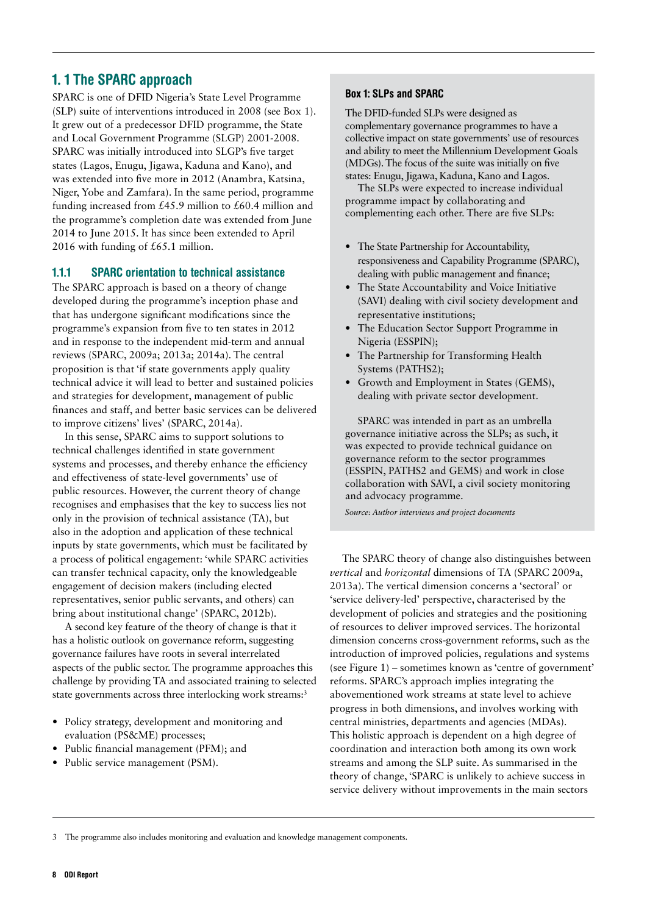## <span id="page-8-0"></span>1. 1 The SPARC approach

SPARC is one of DFID Nigeria's State Level Programme (SLP) suite of interventions introduced in 2008 (see Box 1). It grew out of a predecessor DFID programme, the State and Local Government Programme (SLGP) 2001-2008. SPARC was initially introduced into SLGP's five target states (Lagos, Enugu, Jigawa, Kaduna and Kano), and was extended into five more in 2012 (Anambra, Katsina, Niger, Yobe and Zamfara). In the same period, programme funding increased from £45.9 million to £60.4 million and the programme's completion date was extended from June 2014 to June 2015. It has since been extended to April 2016 with funding of £65.1 million.

#### 1.1.1 SPARC orientation to technical assistance

The SPARC approach is based on a theory of change developed during the programme's inception phase and that has undergone significant modifications since the programme's expansion from five to ten states in 2012 and in response to the independent mid-term and annual reviews (SPARC, 2009a; 2013a; 2014a). The central proposition is that 'if state governments apply quality technical advice it will lead to better and sustained policies and strategies for development, management of public finances and staff, and better basic services can be delivered to improve citizens' lives' (SPARC, 2014a).

In this sense, SPARC aims to support solutions to technical challenges identified in state government systems and processes, and thereby enhance the efficiency and effectiveness of state-level governments' use of public resources. However, the current theory of change recognises and emphasises that the key to success lies not only in the provision of technical assistance (TA), but also in the adoption and application of these technical inputs by state governments, which must be facilitated by a process of political engagement: 'while SPARC activities can transfer technical capacity, only the knowledgeable engagement of decision makers (including elected representatives, senior public servants, and others) can bring about institutional change' (SPARC, 2012b).

A second key feature of the theory of change is that it has a holistic outlook on governance reform, suggesting governance failures have roots in several interrelated aspects of the public sector. The programme approaches this challenge by providing TA and associated training to selected state governments across three interlocking work streams:<sup>3</sup>

- **•** Policy strategy, development and monitoring and evaluation (PS&ME) processes;
- **•** Public financial management (PFM); and
- **•** Public service management (PSM).

#### Box 1: SLPs and SPARC

The DFID-funded SLPs were designed as complementary governance programmes to have a collective impact on state governments' use of resources and ability to meet the Millennium Development Goals (MDGs). The focus of the suite was initially on five states: Enugu, Jigawa, Kaduna, Kano and Lagos.

The SLPs were expected to increase individual programme impact by collaborating and complementing each other. There are five SLPs:

- **•** The State Partnership for Accountability, responsiveness and Capability Programme (SPARC), dealing with public management and finance;
- **•** The State Accountability and Voice Initiative (SAVI) dealing with civil society development and representative institutions;
- **•** The Education Sector Support Programme in Nigeria (ESSPIN);
- **•** The Partnership for Transforming Health Systems (PATHS2);
- **•** Growth and Employment in States (GEMS), dealing with private sector development.

SPARC was intended in part as an umbrella governance initiative across the SLPs; as such, it was expected to provide technical guidance on governance reform to the sector programmes (ESSPIN, PATHS2 and GEMS) and work in close collaboration with SAVI, a civil society monitoring and advocacy programme.

*Source: Author interviews and project documents*

The SPARC theory of change also distinguishes between *vertical* and *horizontal* dimensions of TA (SPARC 2009a, 2013a). The vertical dimension concerns a 'sectoral' or 'service delivery-led' perspective, characterised by the development of policies and strategies and the positioning of resources to deliver improved services. The horizontal dimension concerns cross-government reforms, such as the introduction of improved policies, regulations and systems (see Figure 1) – sometimes known as 'centre of government' reforms. SPARC's approach implies integrating the abovementioned work streams at state level to achieve progress in both dimensions, and involves working with central ministries, departments and agencies (MDAs). This holistic approach is dependent on a high degree of coordination and interaction both among its own work streams and among the SLP suite. As summarised in the theory of change, 'SPARC is unlikely to achieve success in service delivery without improvements in the main sectors

<sup>3</sup> The programme also includes monitoring and evaluation and knowledge management components.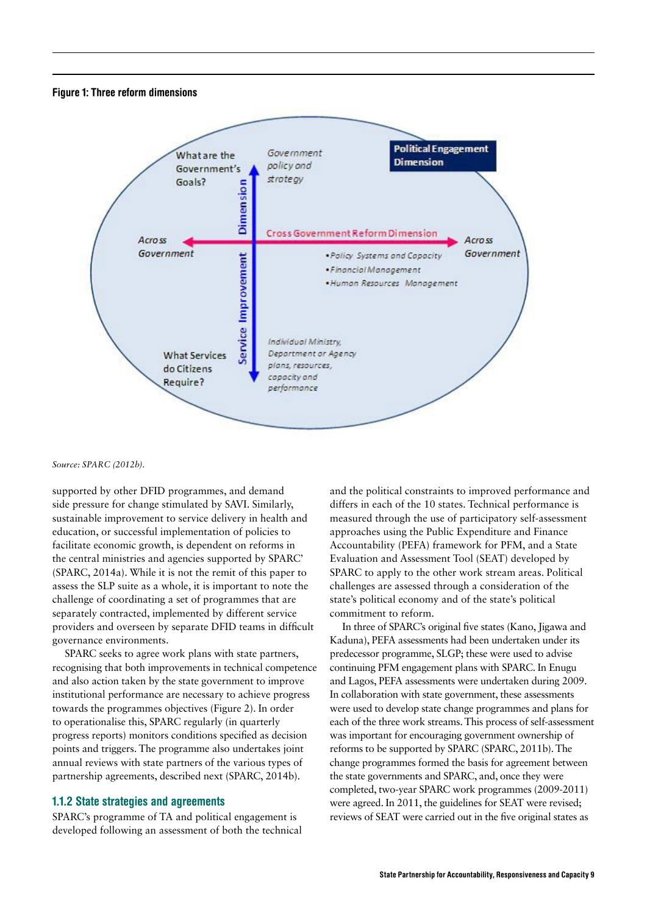#### <span id="page-9-0"></span>Figure 1: Three reform dimensions



*Source: SPARC (2012b).*

supported by other DFID programmes, and demand side pressure for change stimulated by SAVI. Similarly, sustainable improvement to service delivery in health and education, or successful implementation of policies to facilitate economic growth, is dependent on reforms in the central ministries and agencies supported by SPARC' (SPARC, 2014a). While it is not the remit of this paper to assess the SLP suite as a whole, it is important to note the challenge of coordinating a set of programmes that are separately contracted, implemented by different service providers and overseen by separate DFID teams in difficult governance environments.

SPARC seeks to agree work plans with state partners, recognising that both improvements in technical competence and also action taken by the state government to improve institutional performance are necessary to achieve progress towards the programmes objectives (Figure 2). In order to operationalise this, SPARC regularly (in quarterly progress reports) monitors conditions specified as decision points and triggers. The programme also undertakes joint annual reviews with state partners of the various types of partnership agreements, described next (SPARC, 2014b).

#### 1.1.2 State strategies and agreements

SPARC's programme of TA and political engagement is developed following an assessment of both the technical

and the political constraints to improved performance and differs in each of the 10 states. Technical performance is measured through the use of participatory self-assessment approaches using the Public Expenditure and Finance Accountability (PEFA) framework for PFM, and a State Evaluation and Assessment Tool (SEAT) developed by SPARC to apply to the other work stream areas. Political challenges are assessed through a consideration of the state's political economy and of the state's political commitment to reform.

In three of SPARC's original five states (Kano, Jigawa and Kaduna), PEFA assessments had been undertaken under its predecessor programme, SLGP; these were used to advise continuing PFM engagement plans with SPARC. In Enugu and Lagos, PEFA assessments were undertaken during 2009. In collaboration with state government, these assessments were used to develop state change programmes and plans for each of the three work streams. This process of self-assessment was important for encouraging government ownership of reforms to be supported by SPARC (SPARC, 2011b). The change programmes formed the basis for agreement between the state governments and SPARC, and, once they were completed, two-year SPARC work programmes (2009-2011) were agreed. In 2011, the guidelines for SEAT were revised; reviews of SEAT were carried out in the five original states as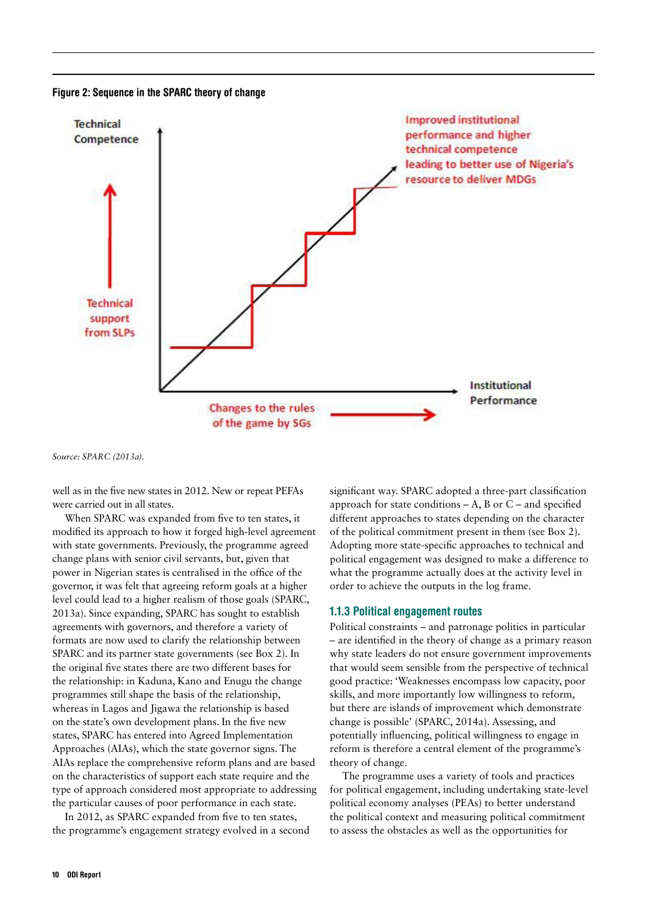<span id="page-10-0"></span>



*Source: SPARC (2013a).*

well as in the five new states in 2012. New or repeat PEFAs were carried out in all states.

When SPARC was expanded from five to ten states, it modified its approach to how it forged high-level agreement with state governments. Previously, the programme agreed change plans with senior civil servants, but, given that power in Nigerian states is centralised in the office of the governor, it was felt that agreeing reform goals at a higher level could lead to a higher realism of those goals (SPARC, 2013a). Since expanding, SPARC has sought to establish agreements with governors, and therefore a variety of formats are now used to clarify the relationship between SPARC and its partner state governments (see Box 2). In the original five states there are two different bases for the relationship: in Kaduna, Kano and Enugu the change programmes still shape the basis of the relationship, whereas in Lagos and Jigawa the relationship is based on the state's own development plans. In the five new states, SPARC has entered into Agreed Implementation Approaches (AIAs), which the state governor signs. The AIAs replace the comprehensive reform plans and are based on the characteristics of support each state require and the type of approach considered most appropriate to addressing the particular causes of poor performance in each state.

In 2012, as SPARC expanded from five to ten states, the programme's engagement strategy evolved in a second significant way. SPARC adopted a three-part classification approach for state conditions  $-A$ , B or  $C$  – and specified different approaches to states depending on the character of the political commitment present in them (see Box 2). Adopting more state-specific approaches to technical and political engagement was designed to make a difference to what the programme actually does at the activity level in order to achieve the outputs in the log frame.

#### 1.1.3 Political engagement routes

Political constraints – and patronage politics in particular – are identified in the theory of change as a primary reason why state leaders do not ensure government improvements that would seem sensible from the perspective of technical good practice: 'Weaknesses encompass low capacity, poor skills, and more importantly low willingness to reform, but there are islands of improvement which demonstrate change is possible' (SPARC, 2014a). Assessing, and potentially influencing, political willingness to engage in reform is therefore a central element of the programme's theory of change.

The programme uses a variety of tools and practices for political engagement, including undertaking state-level political economy analyses (PEAs) to better understand the political context and measuring political commitment to assess the obstacles as well as the opportunities for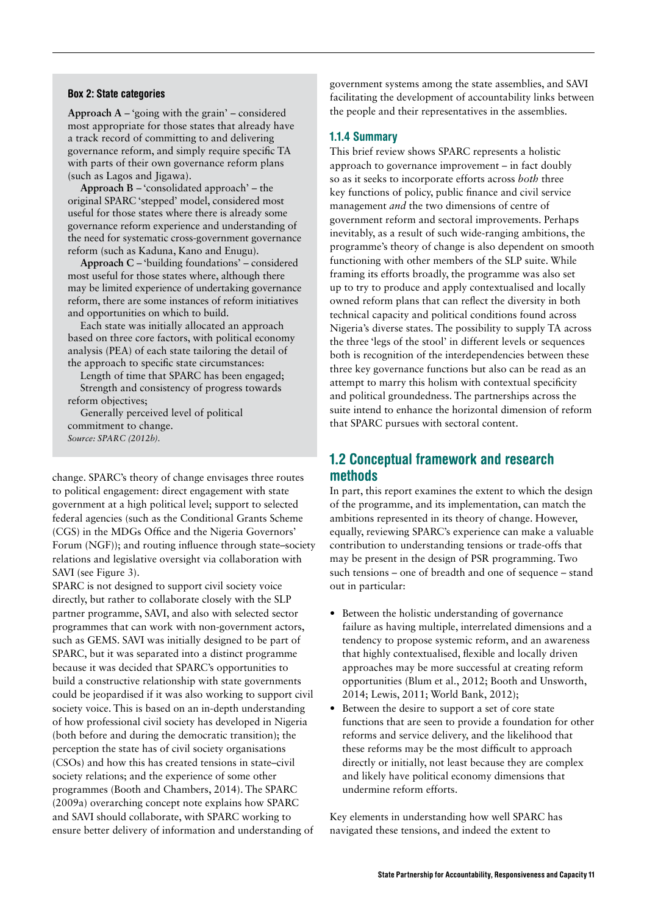#### <span id="page-11-0"></span>Box 2: State categories

**Approach A** – 'going with the grain' – considered most appropriate for those states that already have a track record of committing to and delivering governance reform, and simply require specific TA with parts of their own governance reform plans (such as Lagos and Jigawa).

**Approach B** – 'consolidated approach' – the original SPARC 'stepped' model, considered most useful for those states where there is already some governance reform experience and understanding of the need for systematic cross-government governance reform (such as Kaduna, Kano and Enugu).

**Approach C** – 'building foundations' – considered most useful for those states where, although there may be limited experience of undertaking governance reform, there are some instances of reform initiatives and opportunities on which to build.

Each state was initially allocated an approach based on three core factors, with political economy analysis (PEA) of each state tailoring the detail of the approach to specific state circumstances:

Length of time that SPARC has been engaged; Strength and consistency of progress towards reform objectives;

Generally perceived level of political commitment to change. *Source: SPARC (2012b).*

change. SPARC's theory of change envisages three routes to political engagement: direct engagement with state government at a high political level; support to selected federal agencies (such as the Conditional Grants Scheme (CGS) in the MDGs Office and the Nigeria Governors' Forum (NGF)); and routing influence through state–society relations and legislative oversight via collaboration with SAVI (see Figure 3).

SPARC is not designed to support civil society voice directly, but rather to collaborate closely with the SLP partner programme, SAVI, and also with selected sector programmes that can work with non-government actors, such as GEMS. SAVI was initially designed to be part of SPARC, but it was separated into a distinct programme because it was decided that SPARC's opportunities to build a constructive relationship with state governments could be jeopardised if it was also working to support civil society voice. This is based on an in-depth understanding of how professional civil society has developed in Nigeria (both before and during the democratic transition); the perception the state has of civil society organisations (CSOs) and how this has created tensions in state–civil society relations; and the experience of some other programmes (Booth and Chambers, 2014). The SPARC (2009a) overarching concept note explains how SPARC and SAVI should collaborate, with SPARC working to ensure better delivery of information and understanding of government systems among the state assemblies, and SAVI facilitating the development of accountability links between the people and their representatives in the assemblies.

#### 1.1.4 Summary

This brief review shows SPARC represents a holistic approach to governance improvement – in fact doubly so as it seeks to incorporate efforts across *both* three key functions of policy, public finance and civil service management *and* the two dimensions of centre of government reform and sectoral improvements. Perhaps inevitably, as a result of such wide-ranging ambitions, the programme's theory of change is also dependent on smooth functioning with other members of the SLP suite. While framing its efforts broadly, the programme was also set up to try to produce and apply contextualised and locally owned reform plans that can reflect the diversity in both technical capacity and political conditions found across Nigeria's diverse states. The possibility to supply TA across the three 'legs of the stool' in different levels or sequences both is recognition of the interdependencies between these three key governance functions but also can be read as an attempt to marry this holism with contextual specificity and political groundedness. The partnerships across the suite intend to enhance the horizontal dimension of reform that SPARC pursues with sectoral content.

### 1.2 Conceptual framework and research methods

In part, this report examines the extent to which the design of the programme, and its implementation, can match the ambitions represented in its theory of change. However, equally, reviewing SPARC's experience can make a valuable contribution to understanding tensions or trade-offs that may be present in the design of PSR programming. Two such tensions – one of breadth and one of sequence – stand out in particular:

- **•** Between the holistic understanding of governance failure as having multiple, interrelated dimensions and a tendency to propose systemic reform, and an awareness that highly contextualised, flexible and locally driven approaches may be more successful at creating reform opportunities (Blum et al., 2012; Booth and Unsworth, 2014; Lewis, 2011; World Bank, 2012);
- **•** Between the desire to support a set of core state functions that are seen to provide a foundation for other reforms and service delivery, and the likelihood that these reforms may be the most difficult to approach directly or initially, not least because they are complex and likely have political economy dimensions that undermine reform efforts.

Key elements in understanding how well SPARC has navigated these tensions, and indeed the extent to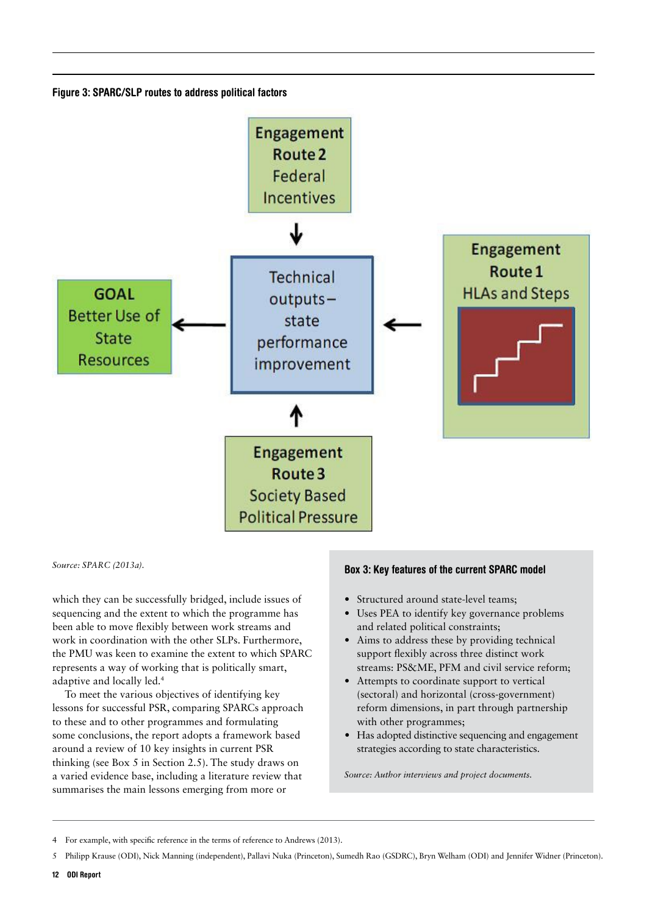<span id="page-12-0"></span>Figure 3: SPARC/SLP routes to address political factors



which they can be successfully bridged, include issues of sequencing and the extent to which the programme has been able to move flexibly between work streams and work in coordination with the other SLPs. Furthermore, the PMU was keen to examine the extent to which SPARC represents a way of working that is politically smart, adaptive and locally led.4

To meet the various objectives of identifying key lessons for successful PSR, comparing SPARCs approach to these and to other programmes and formulating some conclusions, the report adopts a framework based around a review of 10 key insights in current PSR thinking (see Box 5 in Section 2.5). The study draws on a varied evidence base, including a literature review that summarises the main lessons emerging from more or

# *Source: SPARC (2013a).* Box 3: Key features of the current SPARC model

- **•** Structured around state-level teams;
- **•** Uses PEA to identify key governance problems and related political constraints;
- **•** Aims to address these by providing technical support flexibly across three distinct work streams: PS&ME, PFM and civil service reform;
- **•** Attempts to coordinate support to vertical (sectoral) and horizontal (cross-government) reform dimensions, in part through partnership with other programmes;
- **•** Has adopted distinctive sequencing and engagement strategies according to state characteristics.

*Source: Author interviews and project documents.*

<sup>4</sup> For example, with specific reference in the terms of reference to Andrews (2013).

<sup>5</sup> Philipp Krause (ODI), Nick Manning (independent), Pallavi Nuka (Princeton), Sumedh Rao (GSDRC), Bryn Welham (ODI) and Jennifer Widner (Princeton).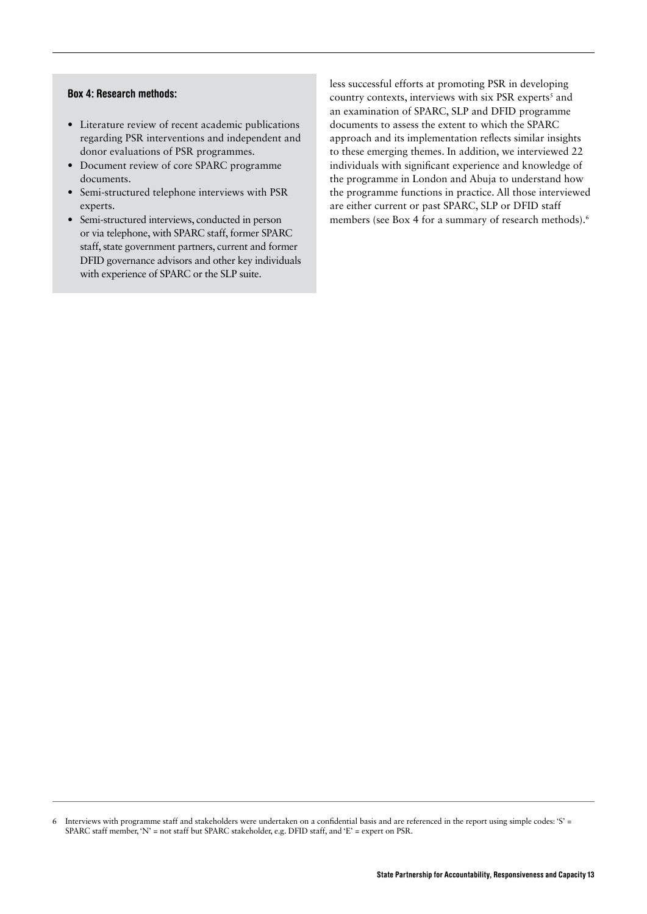#### <span id="page-13-0"></span>Box 4: Research methods:

- **•** Literature review of recent academic publications regarding PSR interventions and independent and donor evaluations of PSR programmes.
- **•** Document review of core SPARC programme documents.
- **•** Semi-structured telephone interviews with PSR experts.
- **•** Semi-structured interviews, conducted in person or via telephone, with SPARC staff, former SPARC staff, state government partners, current and former DFID governance advisors and other key individuals with experience of SPARC or the SLP suite.

less successful efforts at promoting PSR in developing country contexts, interviews with six PSR experts<sup>5</sup> and an examination of SPARC, SLP and DFID programme documents to assess the extent to which the SPARC approach and its implementation reflects similar insights to these emerging themes. In addition, we interviewed 22 individuals with significant experience and knowledge of the programme in London and Abuja to understand how the programme functions in practice. All those interviewed are either current or past SPARC, SLP or DFID staff members (see Box 4 for a summary of research methods).6

<sup>6</sup> Interviews with programme staff and stakeholders were undertaken on a confidential basis and are referenced in the report using simple codes: 'S' = SPARC staff member, 'N' = not staff but SPARC stakeholder, e.g. DFID staff, and 'E' = expert on PSR.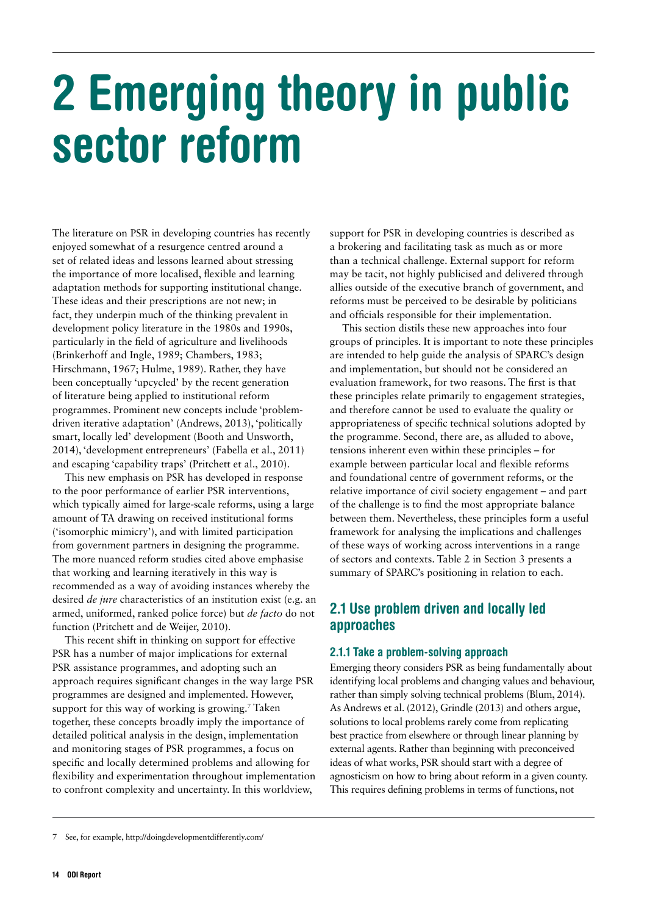# <span id="page-14-0"></span>2 Emerging theory in public sector reform

The literature on PSR in developing countries has recently enjoyed somewhat of a resurgence centred around a set of related ideas and lessons learned about stressing the importance of more localised, flexible and learning adaptation methods for supporting institutional change. These ideas and their prescriptions are not new; in fact, they underpin much of the thinking prevalent in development policy literature in the 1980s and 1990s, particularly in the field of agriculture and livelihoods (Brinkerhoff and Ingle, 1989; Chambers, 1983; Hirschmann, 1967; Hulme, 1989). Rather, they have been conceptually 'upcycled' by the recent generation of literature being applied to institutional reform programmes. Prominent new concepts include 'problemdriven iterative adaptation' (Andrews, 2013), 'politically smart, locally led' development (Booth and Unsworth, 2014), 'development entrepreneurs' (Fabella et al., 2011) and escaping 'capability traps' (Pritchett et al., 2010).

This new emphasis on PSR has developed in response to the poor performance of earlier PSR interventions, which typically aimed for large-scale reforms, using a large amount of TA drawing on received institutional forms ('isomorphic mimicry'), and with limited participation from government partners in designing the programme. The more nuanced reform studies cited above emphasise that working and learning iteratively in this way is recommended as a way of avoiding instances whereby the desired *de jure* characteristics of an institution exist (e.g. an armed, uniformed, ranked police force) but *de facto* do not function (Pritchett and de Weijer, 2010).

This recent shift in thinking on support for effective PSR has a number of major implications for external PSR assistance programmes, and adopting such an approach requires significant changes in the way large PSR programmes are designed and implemented. However, support for this way of working is growing.<sup>7</sup> Taken together, these concepts broadly imply the importance of detailed political analysis in the design, implementation and monitoring stages of PSR programmes, a focus on specific and locally determined problems and allowing for flexibility and experimentation throughout implementation to confront complexity and uncertainty. In this worldview,

support for PSR in developing countries is described as a brokering and facilitating task as much as or more than a technical challenge. External support for reform may be tacit, not highly publicised and delivered through allies outside of the executive branch of government, and reforms must be perceived to be desirable by politicians and officials responsible for their implementation.

This section distils these new approaches into four groups of principles. It is important to note these principles are intended to help guide the analysis of SPARC's design and implementation, but should not be considered an evaluation framework, for two reasons. The first is that these principles relate primarily to engagement strategies, and therefore cannot be used to evaluate the quality or appropriateness of specific technical solutions adopted by the programme. Second, there are, as alluded to above, tensions inherent even within these principles – for example between particular local and flexible reforms and foundational centre of government reforms, or the relative importance of civil society engagement – and part of the challenge is to find the most appropriate balance between them. Nevertheless, these principles form a useful framework for analysing the implications and challenges of these ways of working across interventions in a range of sectors and contexts. Table 2 in Section 3 presents a summary of SPARC's positioning in relation to each.

# 2.1 Use problem driven and locally led approaches

#### 2.1.1 Take a problem-solving approach

Emerging theory considers PSR as being fundamentally about identifying local problems and changing values and behaviour, rather than simply solving technical problems (Blum, 2014). As Andrews et al. (2012), Grindle (2013) and others argue, solutions to local problems rarely come from replicating best practice from elsewhere or through linear planning by external agents. Rather than beginning with preconceived ideas of what works, PSR should start with a degree of agnosticism on how to bring about reform in a given county. This requires defining problems in terms of functions, not

<sup>7</sup> See, for example, <http://doingdevelopmentdifferently.com/>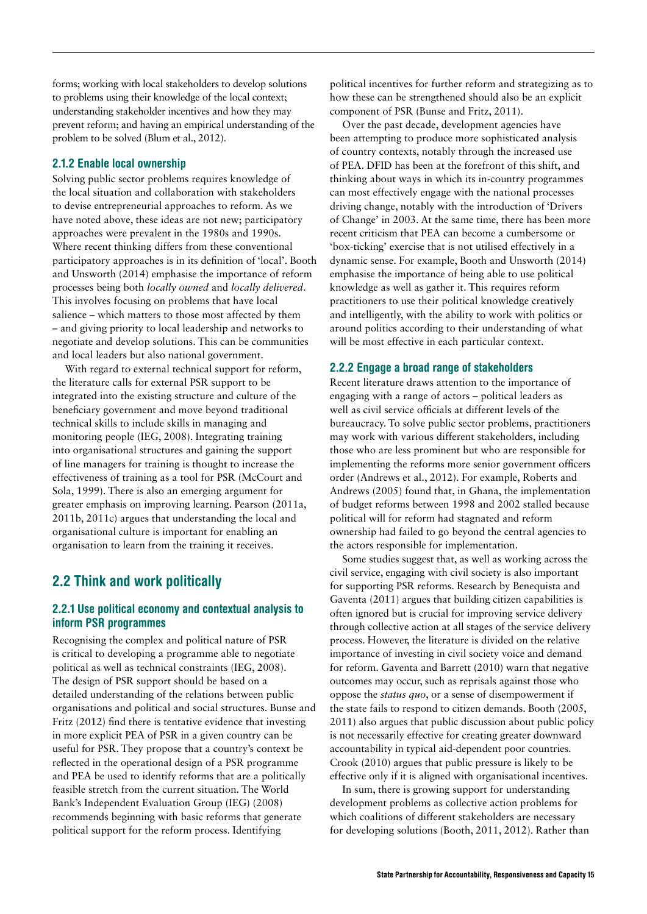<span id="page-15-0"></span>forms; working with local stakeholders to develop solutions to problems using their knowledge of the local context; understanding stakeholder incentives and how they may prevent reform; and having an empirical understanding of the problem to be solved (Blum et al., 2012).

#### 2.1.2 Enable local ownership

Solving public sector problems requires knowledge of the local situation and collaboration with stakeholders to devise entrepreneurial approaches to reform. As we have noted above, these ideas are not new; participatory approaches were prevalent in the 1980s and 1990s. Where recent thinking differs from these conventional participatory approaches is in its definition of 'local'. Booth and Unsworth (2014) emphasise the importance of reform processes being both *locally owned* and *locally delivered*. This involves focusing on problems that have local salience – which matters to those most affected by them – and giving priority to local leadership and networks to negotiate and develop solutions. This can be communities and local leaders but also national government.

With regard to external technical support for reform, the literature calls for external PSR support to be integrated into the existing structure and culture of the beneficiary government and move beyond traditional technical skills to include skills in managing and monitoring people (IEG, 2008). Integrating training into organisational structures and gaining the support of line managers for training is thought to increase the effectiveness of training as a tool for PSR (McCourt and Sola, 1999). There is also an emerging argument for greater emphasis on improving learning. Pearson (2011a, 2011b, 2011c) argues that understanding the local and organisational culture is important for enabling an organisation to learn from the training it receives.

## 2.2 Think and work politically

#### 2.2.1 Use political economy and contextual analysis to inform PSR programmes

Recognising the complex and political nature of PSR is critical to developing a programme able to negotiate political as well as technical constraints (IEG, 2008). The design of PSR support should be based on a detailed understanding of the relations between public organisations and political and social structures. Bunse and Fritz (2012) find there is tentative evidence that investing in more explicit PEA of PSR in a given country can be useful for PSR. They propose that a country's context be reflected in the operational design of a PSR programme and PEA be used to identify reforms that are a politically feasible stretch from the current situation. The World Bank's Independent Evaluation Group (IEG) (2008) recommends beginning with basic reforms that generate political support for the reform process. Identifying

political incentives for further reform and strategizing as to how these can be strengthened should also be an explicit component of PSR (Bunse and Fritz, 2011).

Over the past decade, development agencies have been attempting to produce more sophisticated analysis of country contexts, notably through the increased use of PEA. DFID has been at the forefront of this shift, and thinking about ways in which its in-country programmes can most effectively engage with the national processes driving change, notably with the introduction of 'Drivers of Change' in 2003. At the same time, there has been more recent criticism that PEA can become a cumbersome or 'box-ticking' exercise that is not utilised effectively in a dynamic sense. For example, Booth and Unsworth (2014) emphasise the importance of being able to use political knowledge as well as gather it. This requires reform practitioners to use their political knowledge creatively and intelligently, with the ability to work with politics or around politics according to their understanding of what will be most effective in each particular context.

#### 2.2.2 Engage a broad range of stakeholders

Recent literature draws attention to the importance of engaging with a range of actors – political leaders as well as civil service officials at different levels of the bureaucracy. To solve public sector problems, practitioners may work with various different stakeholders, including those who are less prominent but who are responsible for implementing the reforms more senior government officers order (Andrews et al., 2012). For example, Roberts and Andrews (2005) found that, in Ghana, the implementation of budget reforms between 1998 and 2002 stalled because political will for reform had stagnated and reform ownership had failed to go beyond the central agencies to the actors responsible for implementation.

Some studies suggest that, as well as working across the civil service, engaging with civil society is also important for supporting PSR reforms. Research by Benequista and Gaventa (2011) argues that building citizen capabilities is often ignored but is crucial for improving service delivery through collective action at all stages of the service delivery process. However, the literature is divided on the relative importance of investing in civil society voice and demand for reform. Gaventa and Barrett (2010) warn that negative outcomes may occur, such as reprisals against those who oppose the *status quo*, or a sense of disempowerment if the state fails to respond to citizen demands. Booth (2005, 2011) also argues that public discussion about public policy is not necessarily effective for creating greater downward accountability in typical aid-dependent poor countries. Crook (2010) argues that public pressure is likely to be effective only if it is aligned with organisational incentives.

In sum, there is growing support for understanding development problems as collective action problems for which coalitions of different stakeholders are necessary for developing solutions (Booth, 2011, 2012). Rather than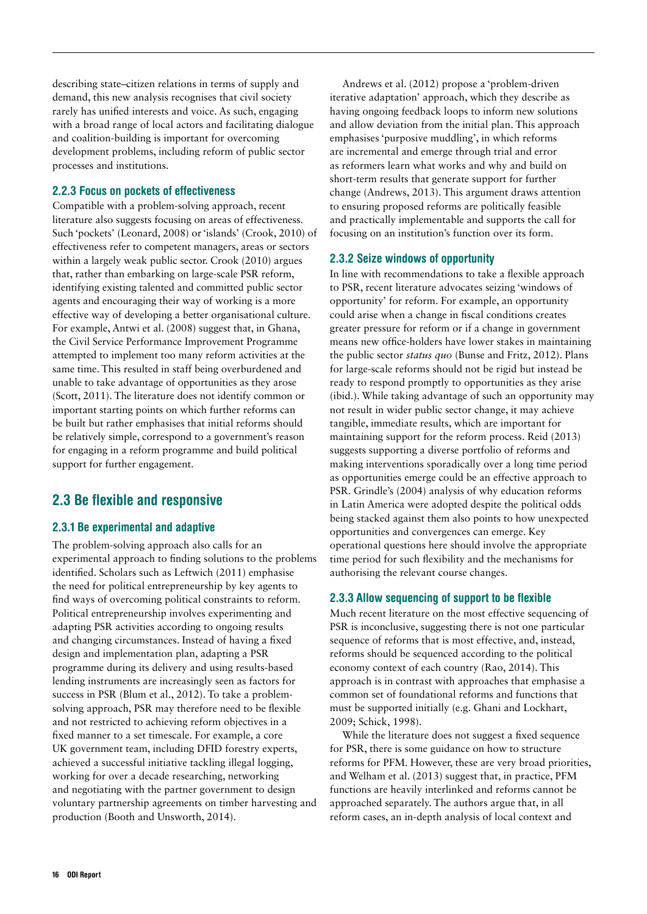<span id="page-16-0"></span>describing state–citizen relations in terms of supply and demand, this new analysis recognises that civil society rarely has unified interests and voice. As such, engaging with a broad range of local actors and facilitating dialogue and coalition-building is important for overcoming development problems, including reform of public sector processes and institutions.

#### 2.2.3 Focus on pockets of effectiveness

Compatible with a problem-solving approach, recent literature also suggests focusing on areas of effectiveness. Such 'pockets' (Leonard, 2008) or 'islands' (Crook, 2010) of effectiveness refer to competent managers, areas or sectors within a largely weak public sector. Crook (2010) argues that, rather than embarking on large-scale PSR reform, identifying existing talented and committed public sector agents and encouraging their way of working is a more effective way of developing a better organisational culture. For example, Antwi et al. (2008) suggest that, in Ghana, the Civil Service Performance Improvement Programme attempted to implement too many reform activities at the same time. This resulted in staff being overburdened and unable to take advantage of opportunities as they arose (Scott, 2011). The literature does not identify common or important starting points on which further reforms can be built but rather emphasises that initial reforms should be relatively simple, correspond to a government's reason for engaging in a reform programme and build political support for further engagement.

# 2.3 Be flexible and responsive

#### 2.3.1 Be experimental and adaptive

The problem-solving approach also calls for an experimental approach to finding solutions to the problems identified. Scholars such as Leftwich (2011) emphasise the need for political entrepreneurship by key agents to find ways of overcoming political constraints to reform. Political entrepreneurship involves experimenting and adapting PSR activities according to ongoing results and changing circumstances. Instead of having a fixed design and implementation plan, adapting a PSR programme during its delivery and using results-based lending instruments are increasingly seen as factors for success in PSR (Blum et al., 2012). To take a problemsolving approach, PSR may therefore need to be flexible and not restricted to achieving reform objectives in a fixed manner to a set timescale. For example, a core UK government team, including DFID forestry experts, achieved a successful initiative tackling illegal logging, working for over a decade researching, networking and negotiating with the partner government to design voluntary partnership agreements on timber harvesting and production (Booth and Unsworth, 2014).

Andrews et al. (2012) propose a 'problem-driven iterative adaptation' approach, which they describe as having ongoing feedback loops to inform new solutions and allow deviation from the initial plan. This approach emphasises 'purposive muddling', in which reforms are incremental and emerge through trial and error as reformers learn what works and why and build on short-term results that generate support for further change (Andrews, 2013). This argument draws attention to ensuring proposed reforms are politically feasible and practically implementable and supports the call for focusing on an institution's function over its form.

#### 2.3.2 Seize windows of opportunity

In line with recommendations to take a flexible approach to PSR, recent literature advocates seizing 'windows of opportunity' for reform. For example, an opportunity could arise when a change in fiscal conditions creates greater pressure for reform or if a change in government means new office-holders have lower stakes in maintaining the public sector *status quo* (Bunse and Fritz, 2012). Plans for large-scale reforms should not be rigid but instead be ready to respond promptly to opportunities as they arise (ibid.). While taking advantage of such an opportunity may not result in wider public sector change, it may achieve tangible, immediate results, which are important for maintaining support for the reform process. Reid (2013) suggests supporting a diverse portfolio of reforms and making interventions sporadically over a long time period as opportunities emerge could be an effective approach to PSR. Grindle's (2004) analysis of why education reforms in Latin America were adopted despite the political odds being stacked against them also points to how unexpected opportunities and convergences can emerge. Key operational questions here should involve the appropriate time period for such flexibility and the mechanisms for authorising the relevant course changes.

#### 2.3.3 Allow sequencing of support to be flexible

Much recent literature on the most effective sequencing of PSR is inconclusive, suggesting there is not one particular sequence of reforms that is most effective, and, instead, reforms should be sequenced according to the political economy context of each country (Rao, 2014). This approach is in contrast with approaches that emphasise a common set of foundational reforms and functions that must be supported initially (e.g. Ghani and Lockhart, 2009; Schick, 1998).

While the literature does not suggest a fixed sequence for PSR, there is some guidance on how to structure reforms for PFM. However, these are very broad priorities, and Welham et al. (2013) suggest that, in practice, PFM functions are heavily interlinked and reforms cannot be approached separately. The authors argue that, in all reform cases, an in-depth analysis of local context and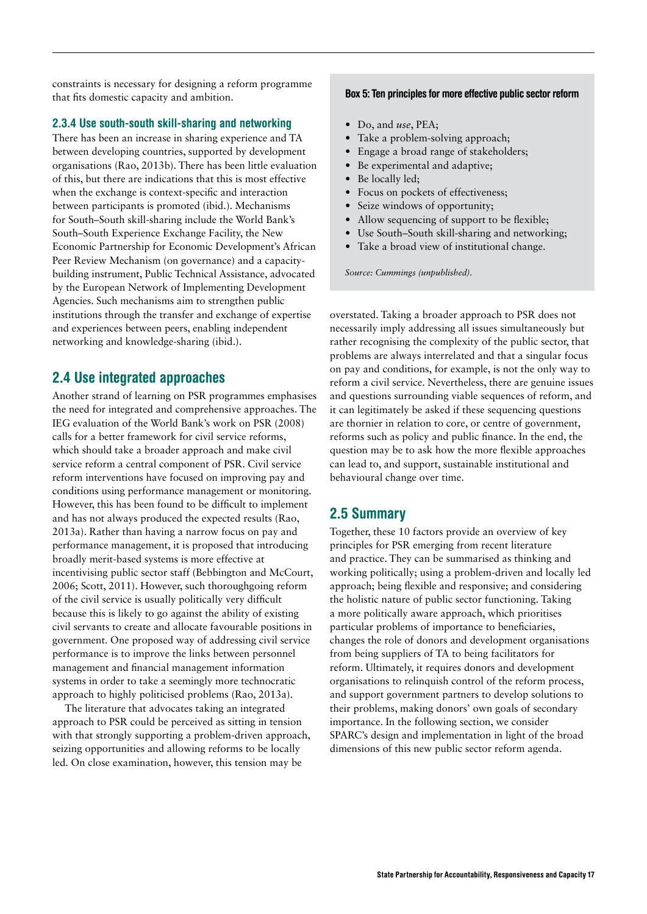<span id="page-17-0"></span>constraints is necessary for designing a reform programme that fits domestic capacity and ambition.

#### 2.3.4 Use south-south skill-sharing and networking

There has been an increase in sharing experience and TA between developing countries, supported by development organisations (Rao, 2013b). There has been little evaluation of this, but there are indications that this is most effective when the exchange is context-specific and interaction between participants is promoted (ibid.). Mechanisms for South–South skill-sharing include the World Bank's South–South Experience Exchange Facility, the New Economic Partnership for Economic Development's African Peer Review Mechanism (on governance) and a capacitybuilding instrument, Public Technical Assistance, advocated by the European Network of Implementing Development Agencies. Such mechanisms aim to strengthen public institutions through the transfer and exchange of expertise and experiences between peers, enabling independent networking and knowledge-sharing (ibid.).

### 2.4 Use integrated approaches

Another strand of learning on PSR programmes emphasises the need for integrated and comprehensive approaches. The IEG evaluation of the World Bank's work on PSR (2008) calls for a better framework for civil service reforms, which should take a broader approach and make civil service reform a central component of PSR. Civil service reform interventions have focused on improving pay and conditions using performance management or monitoring. However, this has been found to be difficult to implement and has not always produced the expected results (Rao, 2013a). Rather than having a narrow focus on pay and performance management, it is proposed that introducing broadly merit-based systems is more effective at incentivising public sector staff (Bebbington and McCourt, 2006; Scott, 2011). However, such thoroughgoing reform of the civil service is usually politically very difficult because this is likely to go against the ability of existing civil servants to create and allocate favourable positions in government. One proposed way of addressing civil service performance is to improve the links between personnel management and financial management information systems in order to take a seemingly more technocratic approach to highly politicised problems (Rao, 2013a).

The literature that advocates taking an integrated approach to PSR could be perceived as sitting in tension with that strongly supporting a problem-driven approach, seizing opportunities and allowing reforms to be locally led. On close examination, however, this tension may be

#### Box 5: Ten principles for more effective public sector reform

- **•** Do, and *use*, PEA;
- **•** Take a problem-solving approach;
- **•** Engage a broad range of stakeholders;
- **•** Be experimental and adaptive;
- **•** Be locally led;
- **•** Focus on pockets of effectiveness;
- **•** Seize windows of opportunity;
- **•** Allow sequencing of support to be flexible;
- **•** Use South–South skill-sharing and networking;
- **•** Take a broad view of institutional change.

*Source: Cummings (unpublished).*

overstated. Taking a broader approach to PSR does not necessarily imply addressing all issues simultaneously but rather recognising the complexity of the public sector, that problems are always interrelated and that a singular focus on pay and conditions, for example, is not the only way to reform a civil service. Nevertheless, there are genuine issues and questions surrounding viable sequences of reform, and it can legitimately be asked if these sequencing questions are thornier in relation to core, or centre of government, reforms such as policy and public finance. In the end, the question may be to ask how the more flexible approaches can lead to, and support, sustainable institutional and behavioural change over time.

## 2.5 Summary

Together, these 10 factors provide an overview of key principles for PSR emerging from recent literature and practice. They can be summarised as thinking and working politically; using a problem-driven and locally led approach; being flexible and responsive; and considering the holistic nature of public sector functioning. Taking a more politically aware approach, which prioritises particular problems of importance to beneficiaries, changes the role of donors and development organisations from being suppliers of TA to being facilitators for reform. Ultimately, it requires donors and development organisations to relinquish control of the reform process, and support government partners to develop solutions to their problems, making donors' own goals of secondary importance. In the following section, we consider SPARC's design and implementation in light of the broad dimensions of this new public sector reform agenda.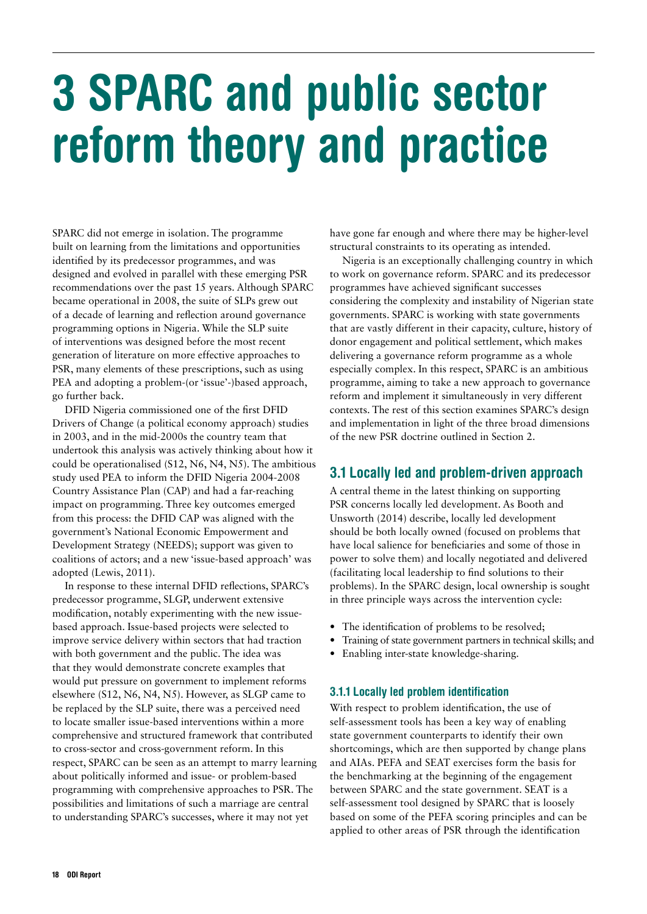# <span id="page-18-0"></span>3 SPARC and public sector reform theory and practice

SPARC did not emerge in isolation. The programme built on learning from the limitations and opportunities identified by its predecessor programmes, and was designed and evolved in parallel with these emerging PSR recommendations over the past 15 years. Although SPARC became operational in 2008, the suite of SLPs grew out of a decade of learning and reflection around governance programming options in Nigeria. While the SLP suite of interventions was designed before the most recent generation of literature on more effective approaches to PSR, many elements of these prescriptions, such as using PEA and adopting a problem-(or 'issue'-)based approach, go further back.

DFID Nigeria commissioned one of the first DFID Drivers of Change (a political economy approach) studies in 2003, and in the mid-2000s the country team that undertook this analysis was actively thinking about how it could be operationalised (S12, N6, N4, N5). The ambitious study used PEA to inform the DFID Nigeria 2004-2008 Country Assistance Plan (CAP) and had a far-reaching impact on programming. Three key outcomes emerged from this process: the DFID CAP was aligned with the government's National Economic Empowerment and Development Strategy (NEEDS); support was given to coalitions of actors; and a new 'issue-based approach' was adopted (Lewis, 2011).

In response to these internal DFID reflections, SPARC's predecessor programme, SLGP, underwent extensive modification, notably experimenting with the new issuebased approach. Issue-based projects were selected to improve service delivery within sectors that had traction with both government and the public. The idea was that they would demonstrate concrete examples that would put pressure on government to implement reforms elsewhere (S12, N6, N4, N5). However, as SLGP came to be replaced by the SLP suite, there was a perceived need to locate smaller issue-based interventions within a more comprehensive and structured framework that contributed to cross-sector and cross-government reform. In this respect, SPARC can be seen as an attempt to marry learning about politically informed and issue- or problem-based programming with comprehensive approaches to PSR. The possibilities and limitations of such a marriage are central to understanding SPARC's successes, where it may not yet

have gone far enough and where there may be higher-level structural constraints to its operating as intended.

Nigeria is an exceptionally challenging country in which to work on governance reform. SPARC and its predecessor programmes have achieved significant successes considering the complexity and instability of Nigerian state governments. SPARC is working with state governments that are vastly different in their capacity, culture, history of donor engagement and political settlement, which makes delivering a governance reform programme as a whole especially complex. In this respect, SPARC is an ambitious programme, aiming to take a new approach to governance reform and implement it simultaneously in very different contexts. The rest of this section examines SPARC's design and implementation in light of the three broad dimensions of the new PSR doctrine outlined in Section 2.

# 3.1 Locally led and problem-driven approach

A central theme in the latest thinking on supporting PSR concerns locally led development. As Booth and Unsworth (2014) describe, locally led development should be both locally owned (focused on problems that have local salience for beneficiaries and some of those in power to solve them) and locally negotiated and delivered (facilitating local leadership to find solutions to their problems). In the SPARC design, local ownership is sought in three principle ways across the intervention cycle:

- **•** The identification of problems to be resolved;
- **•** Training of state government partners in technical skills; and
- **•** Enabling inter-state knowledge-sharing.

#### 3.1.1 Locally led problem identification

With respect to problem identification, the use of self-assessment tools has been a key way of enabling state government counterparts to identify their own shortcomings, which are then supported by change plans and AIAs. PEFA and SEAT exercises form the basis for the benchmarking at the beginning of the engagement between SPARC and the state government. SEAT is a self-assessment tool designed by SPARC that is loosely based on some of the PEFA scoring principles and can be applied to other areas of PSR through the identification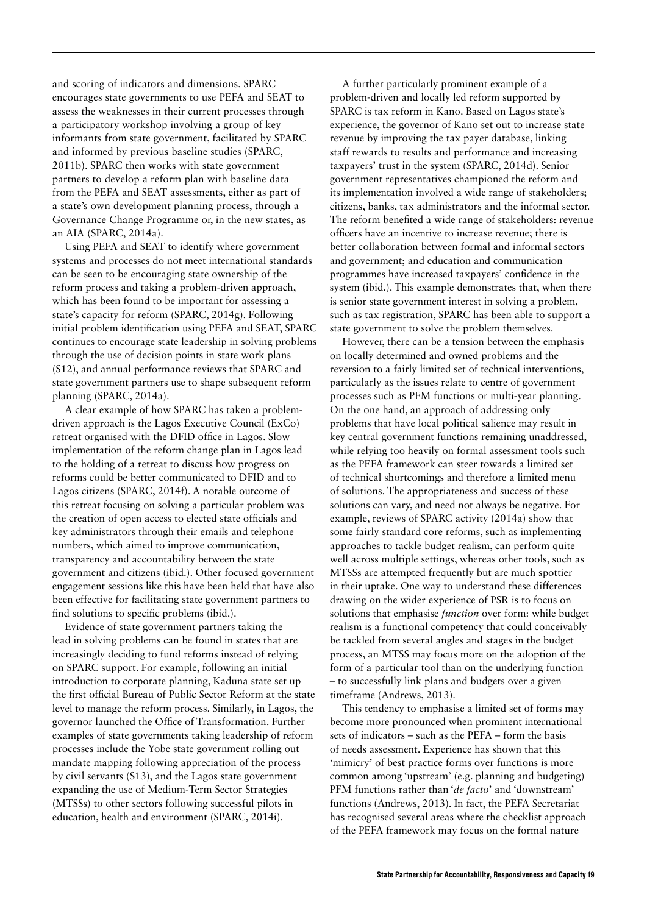and scoring of indicators and dimensions. SPARC encourages state governments to use PEFA and SEAT to assess the weaknesses in their current processes through a participatory workshop involving a group of key informants from state government, facilitated by SPARC and informed by previous baseline studies (SPARC, 2011b). SPARC then works with state government partners to develop a reform plan with baseline data from the PEFA and SEAT assessments, either as part of a state's own development planning process, through a Governance Change Programme or, in the new states, as an AIA (SPARC, 2014a).

Using PEFA and SEAT to identify where government systems and processes do not meet international standards can be seen to be encouraging state ownership of the reform process and taking a problem-driven approach, which has been found to be important for assessing a state's capacity for reform (SPARC, 2014g). Following initial problem identification using PEFA and SEAT, SPARC continues to encourage state leadership in solving problems through the use of decision points in state work plans (S12), and annual performance reviews that SPARC and state government partners use to shape subsequent reform planning (SPARC, 2014a).

A clear example of how SPARC has taken a problemdriven approach is the Lagos Executive Council (ExCo) retreat organised with the DFID office in Lagos. Slow implementation of the reform change plan in Lagos lead to the holding of a retreat to discuss how progress on reforms could be better communicated to DFID and to Lagos citizens (SPARC, 2014f). A notable outcome of this retreat focusing on solving a particular problem was the creation of open access to elected state officials and key administrators through their emails and telephone numbers, which aimed to improve communication, transparency and accountability between the state government and citizens (ibid.). Other focused government engagement sessions like this have been held that have also been effective for facilitating state government partners to find solutions to specific problems (ibid.).

Evidence of state government partners taking the lead in solving problems can be found in states that are increasingly deciding to fund reforms instead of relying on SPARC support. For example, following an initial introduction to corporate planning, Kaduna state set up the first official Bureau of Public Sector Reform at the state level to manage the reform process. Similarly, in Lagos, the governor launched the Office of Transformation. Further examples of state governments taking leadership of reform processes include the Yobe state government rolling out mandate mapping following appreciation of the process by civil servants (S13), and the Lagos state government expanding the use of Medium-Term Sector Strategies (MTSSs) to other sectors following successful pilots in education, health and environment (SPARC, 2014i).

A further particularly prominent example of a problem-driven and locally led reform supported by SPARC is tax reform in Kano. Based on Lagos state's experience, the governor of Kano set out to increase state revenue by improving the tax payer database, linking staff rewards to results and performance and increasing taxpayers' trust in the system (SPARC, 2014d). Senior government representatives championed the reform and its implementation involved a wide range of stakeholders; citizens, banks, tax administrators and the informal sector. The reform benefited a wide range of stakeholders: revenue officers have an incentive to increase revenue; there is better collaboration between formal and informal sectors and government; and education and communication programmes have increased taxpayers' confidence in the system (ibid.). This example demonstrates that, when there is senior state government interest in solving a problem, such as tax registration, SPARC has been able to support a state government to solve the problem themselves.

However, there can be a tension between the emphasis on locally determined and owned problems and the reversion to a fairly limited set of technical interventions, particularly as the issues relate to centre of government processes such as PFM functions or multi-year planning. On the one hand, an approach of addressing only problems that have local political salience may result in key central government functions remaining unaddressed, while relying too heavily on formal assessment tools such as the PEFA framework can steer towards a limited set of technical shortcomings and therefore a limited menu of solutions. The appropriateness and success of these solutions can vary, and need not always be negative. For example, reviews of SPARC activity (2014a) show that some fairly standard core reforms, such as implementing approaches to tackle budget realism, can perform quite well across multiple settings, whereas other tools, such as MTSSs are attempted frequently but are much spottier in their uptake. One way to understand these differences drawing on the wider experience of PSR is to focus on solutions that emphasise *function* over form: while budget realism is a functional competency that could conceivably be tackled from several angles and stages in the budget process, an MTSS may focus more on the adoption of the form of a particular tool than on the underlying function – to successfully link plans and budgets over a given timeframe (Andrews, 2013).

This tendency to emphasise a limited set of forms may become more pronounced when prominent international sets of indicators – such as the PEFA – form the basis of needs assessment. Experience has shown that this 'mimicry' of best practice forms over functions is more common among 'upstream' (e.g. planning and budgeting) PFM functions rather than '*de facto*' and 'downstream' functions (Andrews, 2013). In fact, the PEFA Secretariat has recognised several areas where the checklist approach of the PEFA framework may focus on the formal nature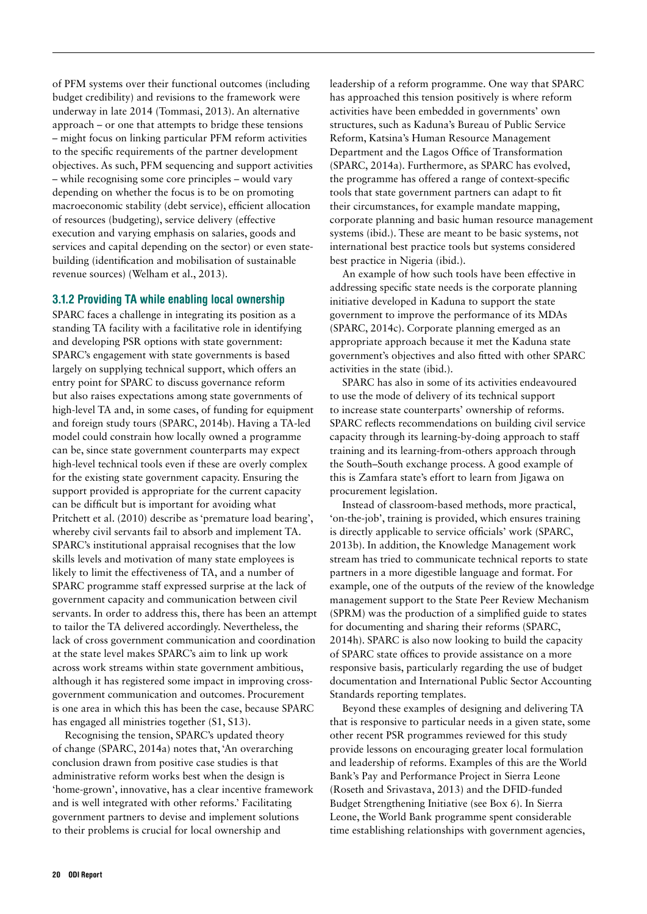of PFM systems over their functional outcomes (including budget credibility) and revisions to the framework were underway in late 2014 (Tommasi, 2013). An alternative approach – or one that attempts to bridge these tensions – might focus on linking particular PFM reform activities to the specific requirements of the partner development objectives. As such, PFM sequencing and support activities – while recognising some core principles – would vary depending on whether the focus is to be on promoting macroeconomic stability (debt service), efficient allocation of resources (budgeting), service delivery (effective execution and varying emphasis on salaries, goods and services and capital depending on the sector) or even statebuilding (identification and mobilisation of sustainable revenue sources) (Welham et al., 2013).

#### 3.1.2 Providing TA while enabling local ownership

SPARC faces a challenge in integrating its position as a standing TA facility with a facilitative role in identifying and developing PSR options with state government: SPARC's engagement with state governments is based largely on supplying technical support, which offers an entry point for SPARC to discuss governance reform but also raises expectations among state governments of high-level TA and, in some cases, of funding for equipment and foreign study tours (SPARC, 2014b). Having a TA-led model could constrain how locally owned a programme can be, since state government counterparts may expect high-level technical tools even if these are overly complex for the existing state government capacity. Ensuring the support provided is appropriate for the current capacity can be difficult but is important for avoiding what Pritchett et al. (2010) describe as 'premature load bearing', whereby civil servants fail to absorb and implement TA. SPARC's institutional appraisal recognises that the low skills levels and motivation of many state employees is likely to limit the effectiveness of TA, and a number of SPARC programme staff expressed surprise at the lack of government capacity and communication between civil servants. In order to address this, there has been an attempt to tailor the TA delivered accordingly. Nevertheless, the lack of cross government communication and coordination at the state level makes SPARC's aim to link up work across work streams within state government ambitious, although it has registered some impact in improving crossgovernment communication and outcomes. Procurement is one area in which this has been the case, because SPARC has engaged all ministries together (S1, S13).

Recognising the tension, SPARC's updated theory of change (SPARC, 2014a) notes that, 'An overarching conclusion drawn from positive case studies is that administrative reform works best when the design is 'home-grown', innovative, has a clear incentive framework and is well integrated with other reforms.' Facilitating government partners to devise and implement solutions to their problems is crucial for local ownership and

leadership of a reform programme. One way that SPARC has approached this tension positively is where reform activities have been embedded in governments' own structures, such as Kaduna's Bureau of Public Service Reform, Katsina's Human Resource Management Department and the Lagos Office of Transformation (SPARC, 2014a). Furthermore, as SPARC has evolved, the programme has offered a range of context-specific tools that state government partners can adapt to fit their circumstances, for example mandate mapping, corporate planning and basic human resource management systems (ibid.). These are meant to be basic systems, not international best practice tools but systems considered best practice in Nigeria (ibid.).

An example of how such tools have been effective in addressing specific state needs is the corporate planning initiative developed in Kaduna to support the state government to improve the performance of its MDAs (SPARC, 2014c). Corporate planning emerged as an appropriate approach because it met the Kaduna state government's objectives and also fitted with other SPARC activities in the state (ibid.).

SPARC has also in some of its activities endeavoured to use the mode of delivery of its technical support to increase state counterparts' ownership of reforms. SPARC reflects recommendations on building civil service capacity through its learning-by-doing approach to staff training and its learning-from-others approach through the South–South exchange process. A good example of this is Zamfara state's effort to learn from Jigawa on procurement legislation.

Instead of classroom-based methods, more practical, 'on-the-job', training is provided, which ensures training is directly applicable to service officials' work (SPARC, 2013b). In addition, the Knowledge Management work stream has tried to communicate technical reports to state partners in a more digestible language and format. For example, one of the outputs of the review of the knowledge management support to the State Peer Review Mechanism (SPRM) was the production of a simplified guide to states for documenting and sharing their reforms (SPARC, 2014h). SPARC is also now looking to build the capacity of SPARC state offices to provide assistance on a more responsive basis, particularly regarding the use of budget documentation and International Public Sector Accounting Standards reporting templates.

Beyond these examples of designing and delivering TA that is responsive to particular needs in a given state, some other recent PSR programmes reviewed for this study provide lessons on encouraging greater local formulation and leadership of reforms. Examples of this are the World Bank's Pay and Performance Project in Sierra Leone (Roseth and Srivastava, 2013) and the DFID-funded Budget Strengthening Initiative (see Box 6). In Sierra Leone, the World Bank programme spent considerable time establishing relationships with government agencies,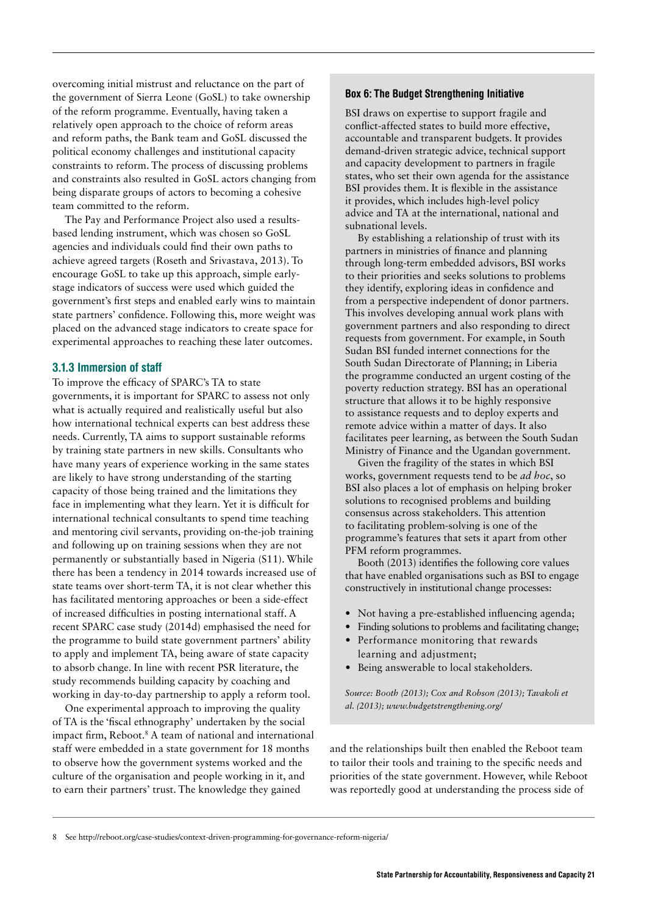<span id="page-21-0"></span>overcoming initial mistrust and reluctance on the part of the government of Sierra Leone (GoSL) to take ownership of the reform programme. Eventually, having taken a relatively open approach to the choice of reform areas and reform paths, the Bank team and GoSL discussed the political economy challenges and institutional capacity constraints to reform. The process of discussing problems and constraints also resulted in GoSL actors changing from being disparate groups of actors to becoming a cohesive team committed to the reform.

The Pay and Performance Project also used a resultsbased lending instrument, which was chosen so GoSL agencies and individuals could find their own paths to achieve agreed targets (Roseth and Srivastava, 2013). To encourage GoSL to take up this approach, simple earlystage indicators of success were used which guided the government's first steps and enabled early wins to maintain state partners' confidence. Following this, more weight was placed on the advanced stage indicators to create space for experimental approaches to reaching these later outcomes.

#### 3.1.3 Immersion of staff

To improve the efficacy of SPARC's TA to state governments, it is important for SPARC to assess not only what is actually required and realistically useful but also how international technical experts can best address these needs. Currently, TA aims to support sustainable reforms by training state partners in new skills. Consultants who have many years of experience working in the same states are likely to have strong understanding of the starting capacity of those being trained and the limitations they face in implementing what they learn. Yet it is difficult for international technical consultants to spend time teaching and mentoring civil servants, providing on-the-job training and following up on training sessions when they are not permanently or substantially based in Nigeria (S11). While there has been a tendency in 2014 towards increased use of state teams over short-term TA, it is not clear whether this has facilitated mentoring approaches or been a side-effect of increased difficulties in posting international staff. A recent SPARC case study (2014d) emphasised the need for the programme to build state government partners' ability to apply and implement TA, being aware of state capacity to absorb change. In line with recent PSR literature, the study recommends building capacity by coaching and working in day-to-day partnership to apply a reform tool.

One experimental approach to improving the quality of TA is the 'fiscal ethnography' undertaken by the social impact firm, Reboot.8 A team of national and international staff were embedded in a state government for 18 months to observe how the government systems worked and the culture of the organisation and people working in it, and to earn their partners' trust. The knowledge they gained

#### Box 6: The Budget Strengthening Initiative

BSI draws on expertise to support fragile and conflict-affected states to build more effective, accountable and transparent budgets. It provides demand-driven strategic advice, technical support and capacity development to partners in fragile states, who set their own agenda for the assistance BSI provides them. It is flexible in the assistance it provides, which includes high-level policy advice and TA at the international, national and subnational levels.

By establishing a relationship of trust with its partners in ministries of finance and planning through long-term embedded advisors, BSI works to their priorities and seeks solutions to problems they identify, exploring ideas in confidence and from a perspective independent of donor partners. This involves developing annual work plans with government partners and also responding to direct requests from government. For example, in South Sudan BSI funded internet connections for the South Sudan Directorate of Planning; in Liberia the programme conducted an urgent costing of the poverty reduction strategy. BSI has an operational structure that allows it to be highly responsive to assistance requests and to deploy experts and remote advice within a matter of days. It also facilitates peer learning, as between the South Sudan Ministry of Finance and the Ugandan government.

Given the fragility of the states in which BSI works, government requests tend to be *ad hoc*, so BSI also places a lot of emphasis on helping broker solutions to recognised problems and building consensus across stakeholders. This attention to facilitating problem-solving is one of the programme's features that sets it apart from other PFM reform programmes.

Booth (2013) identifies the following core values that have enabled organisations such as BSI to engage constructively in institutional change processes:

- Not having a pre-established influencing agenda;
- **•** Finding solutions to problems and facilitating change; **•** Performance monitoring that rewards
- learning and adjustment; **•** Being answerable to local stakeholders.

*Source: Booth (2013); Cox and Robson (2013); Tavakoli et al. (2013); [www.budgetstrengthening.org/](http://www.budgetstrengthening.org/)*

and the relationships built then enabled the Reboot team to tailor their tools and training to the specific needs and priorities of the state government. However, while Reboot was reportedly good at understanding the process side of

8 See<http://reboot.org/case-studies/context-driven-programming-for-governance-reform-nigeria/>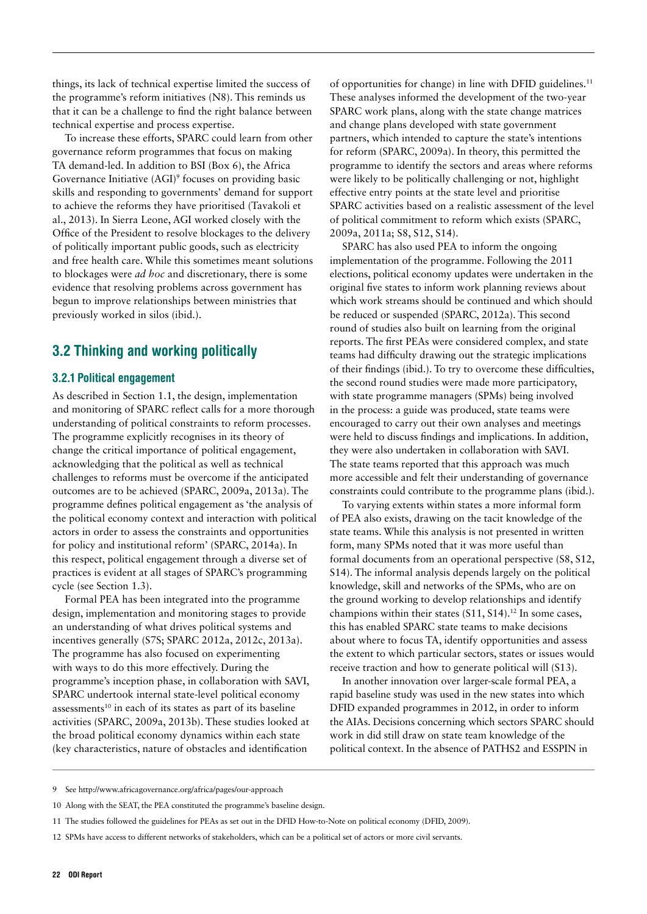<span id="page-22-0"></span>things, its lack of technical expertise limited the success of the programme's reform initiatives (N8). This reminds us that it can be a challenge to find the right balance between technical expertise and process expertise.

To increase these efforts, SPARC could learn from other governance reform programmes that focus on making TA demand-led. In addition to BSI (Box 6), the Africa Governance Initiative (AGI)<sup>9</sup> focuses on providing basic skills and responding to governments' demand for support to achieve the reforms they have prioritised (Tavakoli et al., 2013). In Sierra Leone, AGI worked closely with the Office of the President to resolve blockages to the delivery of politically important public goods, such as electricity and free health care. While this sometimes meant solutions to blockages were *ad hoc* and discretionary, there is some evidence that resolving problems across government has begun to improve relationships between ministries that previously worked in silos (ibid.).

## 3.2 Thinking and working politically

#### 3.2.1 Political engagement

As described in Section 1.1, the design, implementation and monitoring of SPARC reflect calls for a more thorough understanding of political constraints to reform processes. The programme explicitly recognises in its theory of change the critical importance of political engagement, acknowledging that the political as well as technical challenges to reforms must be overcome if the anticipated outcomes are to be achieved (SPARC, 2009a, 2013a). The programme defines political engagement as 'the analysis of the political economy context and interaction with political actors in order to assess the constraints and opportunities for policy and institutional reform' (SPARC, 2014a). In this respect, political engagement through a diverse set of practices is evident at all stages of SPARC's programming cycle (see Section 1.3).

Formal PEA has been integrated into the programme design, implementation and monitoring stages to provide an understanding of what drives political systems and incentives generally (S7S; SPARC 2012a, 2012c, 2013a). The programme has also focused on experimenting with ways to do this more effectively. During the programme's inception phase, in collaboration with SAVI, SPARC undertook internal state-level political economy assessments<sup>10</sup> in each of its states as part of its baseline activities (SPARC, 2009a, 2013b). These studies looked at the broad political economy dynamics within each state (key characteristics, nature of obstacles and identification

of opportunities for change) in line with DFID guidelines.<sup>11</sup> These analyses informed the development of the two-year SPARC work plans, along with the state change matrices and change plans developed with state government partners, which intended to capture the state's intentions for reform (SPARC, 2009a). In theory, this permitted the programme to identify the sectors and areas where reforms were likely to be politically challenging or not, highlight effective entry points at the state level and prioritise SPARC activities based on a realistic assessment of the level of political commitment to reform which exists (SPARC, 2009a, 2011a; S8, S12, S14).

SPARC has also used PEA to inform the ongoing implementation of the programme. Following the 2011 elections, political economy updates were undertaken in the original five states to inform work planning reviews about which work streams should be continued and which should be reduced or suspended (SPARC, 2012a). This second round of studies also built on learning from the original reports. The first PEAs were considered complex, and state teams had difficulty drawing out the strategic implications of their findings (ibid.). To try to overcome these difficulties, the second round studies were made more participatory, with state programme managers (SPMs) being involved in the process: a guide was produced, state teams were encouraged to carry out their own analyses and meetings were held to discuss findings and implications. In addition, they were also undertaken in collaboration with SAVI. The state teams reported that this approach was much more accessible and felt their understanding of governance constraints could contribute to the programme plans (ibid.).

To varying extents within states a more informal form of PEA also exists, drawing on the tacit knowledge of the state teams. While this analysis is not presented in written form, many SPMs noted that it was more useful than formal documents from an operational perspective (S8, S12, S14). The informal analysis depends largely on the political knowledge, skill and networks of the SPMs, who are on the ground working to develop relationships and identify champions within their states  $(S11, S14).<sup>12</sup>$  In some cases, this has enabled SPARC state teams to make decisions about where to focus TA, identify opportunities and assess the extent to which particular sectors, states or issues would receive traction and how to generate political will (S13).

In another innovation over larger-scale formal PEA, a rapid baseline study was used in the new states into which DFID expanded programmes in 2012, in order to inform the AIAs. Decisions concerning which sectors SPARC should work in did still draw on state team knowledge of the political context. In the absence of PATHS2 and ESSPIN in

<sup>9</sup> See<http://www.africagovernance.org/africa/pages/our-approach>

<sup>10</sup> Along with the SEAT, the PEA constituted the programme's baseline design.

<sup>11</sup> The studies followed the guidelines for PEAs as set out in the DFID How-to-Note on political economy (DFID, 2009).

<sup>12</sup> SPMs have access to different networks of stakeholders, which can be a political set of actors or more civil servants.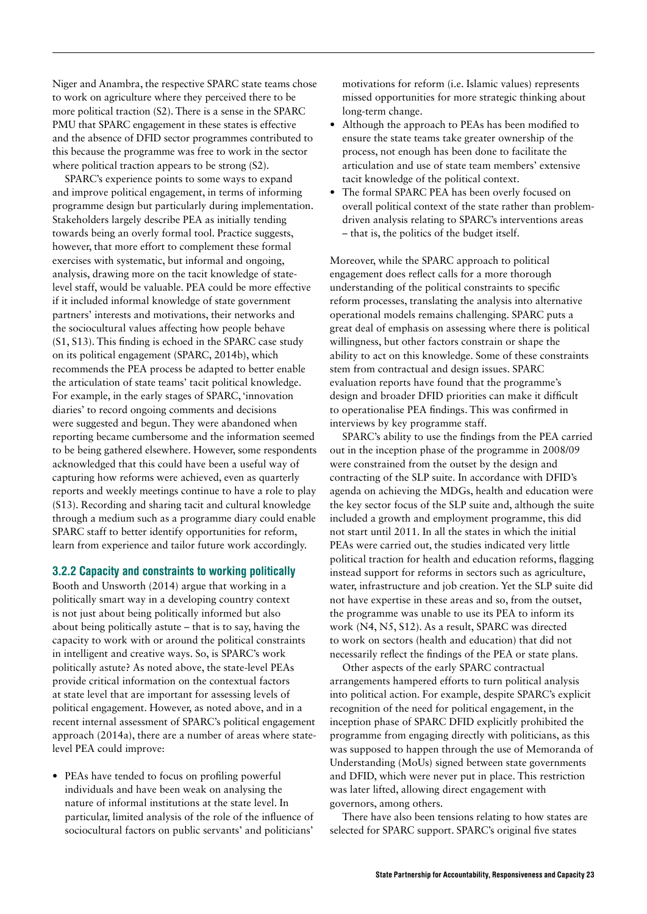Niger and Anambra, the respective SPARC state teams chose to work on agriculture where they perceived there to be more political traction (S2). There is a sense in the SPARC PMU that SPARC engagement in these states is effective and the absence of DFID sector programmes contributed to this because the programme was free to work in the sector where political traction appears to be strong  $(S2)$ .

SPARC's experience points to some ways to expand and improve political engagement, in terms of informing programme design but particularly during implementation. Stakeholders largely describe PEA as initially tending towards being an overly formal tool. Practice suggests, however, that more effort to complement these formal exercises with systematic, but informal and ongoing, analysis, drawing more on the tacit knowledge of statelevel staff, would be valuable. PEA could be more effective if it included informal knowledge of state government partners' interests and motivations, their networks and the sociocultural values affecting how people behave (S1, S13). This finding is echoed in the SPARC case study on its political engagement (SPARC, 2014b), which recommends the PEA process be adapted to better enable the articulation of state teams' tacit political knowledge. For example, in the early stages of SPARC, 'innovation diaries' to record ongoing comments and decisions were suggested and begun. They were abandoned when reporting became cumbersome and the information seemed to be being gathered elsewhere. However, some respondents acknowledged that this could have been a useful way of capturing how reforms were achieved, even as quarterly reports and weekly meetings continue to have a role to play (S13). Recording and sharing tacit and cultural knowledge through a medium such as a programme diary could enable SPARC staff to better identify opportunities for reform, learn from experience and tailor future work accordingly.

#### 3.2.2 Capacity and constraints to working politically

Booth and Unsworth (2014) argue that working in a politically smart way in a developing country context is not just about being politically informed but also about being politically astute – that is to say, having the capacity to work with or around the political constraints in intelligent and creative ways. So, is SPARC's work politically astute? As noted above, the state-level PEAs provide critical information on the contextual factors at state level that are important for assessing levels of political engagement. However, as noted above, and in a recent internal assessment of SPARC's political engagement approach (2014a), there are a number of areas where statelevel PEA could improve:

**•** PEAs have tended to focus on profiling powerful individuals and have been weak on analysing the nature of informal institutions at the state level. In particular, limited analysis of the role of the influence of sociocultural factors on public servants' and politicians'

motivations for reform (i.e. Islamic values) represents missed opportunities for more strategic thinking about long-term change.

- **•** Although the approach to PEAs has been modified to ensure the state teams take greater ownership of the process, not enough has been done to facilitate the articulation and use of state team members' extensive tacit knowledge of the political context.
- **•** The formal SPARC PEA has been overly focused on overall political context of the state rather than problemdriven analysis relating to SPARC's interventions areas – that is, the politics of the budget itself.

Moreover, while the SPARC approach to political engagement does reflect calls for a more thorough understanding of the political constraints to specific reform processes, translating the analysis into alternative operational models remains challenging. SPARC puts a great deal of emphasis on assessing where there is political willingness, but other factors constrain or shape the ability to act on this knowledge. Some of these constraints stem from contractual and design issues. SPARC evaluation reports have found that the programme's design and broader DFID priorities can make it difficult to operationalise PEA findings. This was confirmed in interviews by key programme staff.

SPARC's ability to use the findings from the PEA carried out in the inception phase of the programme in 2008/09 were constrained from the outset by the design and contracting of the SLP suite. In accordance with DFID's agenda on achieving the MDGs, health and education were the key sector focus of the SLP suite and, although the suite included a growth and employment programme, this did not start until 2011. In all the states in which the initial PEAs were carried out, the studies indicated very little political traction for health and education reforms, flagging instead support for reforms in sectors such as agriculture, water, infrastructure and job creation. Yet the SLP suite did not have expertise in these areas and so, from the outset, the programme was unable to use its PEA to inform its work (N4, N5, S12). As a result, SPARC was directed to work on sectors (health and education) that did not necessarily reflect the findings of the PEA or state plans.

Other aspects of the early SPARC contractual arrangements hampered efforts to turn political analysis into political action. For example, despite SPARC's explicit recognition of the need for political engagement, in the inception phase of SPARC DFID explicitly prohibited the programme from engaging directly with politicians, as this was supposed to happen through the use of Memoranda of Understanding (MoUs) signed between state governments and DFID, which were never put in place. This restriction was later lifted, allowing direct engagement with governors, among others.

There have also been tensions relating to how states are selected for SPARC support. SPARC's original five states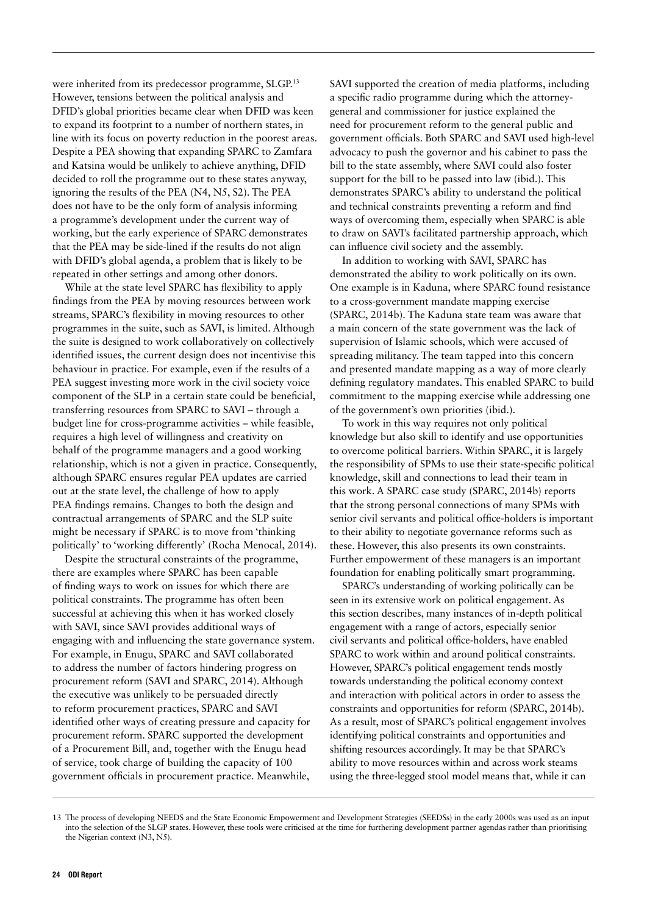were inherited from its predecessor programme, SLGP.<sup>13</sup> However, tensions between the political analysis and DFID's global priorities became clear when DFID was keen to expand its footprint to a number of northern states, in line with its focus on poverty reduction in the poorest areas. Despite a PEA showing that expanding SPARC to Zamfara and Katsina would be unlikely to achieve anything, DFID decided to roll the programme out to these states anyway, ignoring the results of the PEA (N4, N5, S2). The PEA does not have to be the only form of analysis informing a programme's development under the current way of working, but the early experience of SPARC demonstrates that the PEA may be side-lined if the results do not align with DFID's global agenda, a problem that is likely to be repeated in other settings and among other donors.

While at the state level SPARC has flexibility to apply findings from the PEA by moving resources between work streams, SPARC's flexibility in moving resources to other programmes in the suite, such as SAVI, is limited. Although the suite is designed to work collaboratively on collectively identified issues, the current design does not incentivise this behaviour in practice. For example, even if the results of a PEA suggest investing more work in the civil society voice component of the SLP in a certain state could be beneficial, transferring resources from SPARC to SAVI – through a budget line for cross-programme activities – while feasible, requires a high level of willingness and creativity on behalf of the programme managers and a good working relationship, which is not a given in practice. Consequently, although SPARC ensures regular PEA updates are carried out at the state level, the challenge of how to apply PEA findings remains. Changes to both the design and contractual arrangements of SPARC and the SLP suite might be necessary if SPARC is to move from 'thinking politically' to 'working differently' (Rocha Menocal, 2014).

Despite the structural constraints of the programme, there are examples where SPARC has been capable of finding ways to work on issues for which there are political constraints. The programme has often been successful at achieving this when it has worked closely with SAVI, since SAVI provides additional ways of engaging with and influencing the state governance system. For example, in Enugu, SPARC and SAVI collaborated to address the number of factors hindering progress on procurement reform (SAVI and SPARC, 2014). Although the executive was unlikely to be persuaded directly to reform procurement practices, SPARC and SAVI identified other ways of creating pressure and capacity for procurement reform. SPARC supported the development of a Procurement Bill, and, together with the Enugu head of service, took charge of building the capacity of 100 government officials in procurement practice. Meanwhile,

SAVI supported the creation of media platforms, including a specific radio programme during which the attorneygeneral and commissioner for justice explained the need for procurement reform to the general public and government officials. Both SPARC and SAVI used high-level advocacy to push the governor and his cabinet to pass the bill to the state assembly, where SAVI could also foster support for the bill to be passed into law (ibid.). This demonstrates SPARC's ability to understand the political and technical constraints preventing a reform and find ways of overcoming them, especially when SPARC is able to draw on SAVI's facilitated partnership approach, which can influence civil society and the assembly.

In addition to working with SAVI, SPARC has demonstrated the ability to work politically on its own. One example is in Kaduna, where SPARC found resistance to a cross-government mandate mapping exercise (SPARC, 2014b). The Kaduna state team was aware that a main concern of the state government was the lack of supervision of Islamic schools, which were accused of spreading militancy. The team tapped into this concern and presented mandate mapping as a way of more clearly defining regulatory mandates. This enabled SPARC to build commitment to the mapping exercise while addressing one of the government's own priorities (ibid.).

To work in this way requires not only political knowledge but also skill to identify and use opportunities to overcome political barriers. Within SPARC, it is largely the responsibility of SPMs to use their state-specific political knowledge, skill and connections to lead their team in this work. A SPARC case study (SPARC, 2014b) reports that the strong personal connections of many SPMs with senior civil servants and political office-holders is important to their ability to negotiate governance reforms such as these. However, this also presents its own constraints. Further empowerment of these managers is an important foundation for enabling politically smart programming.

SPARC's understanding of working politically can be seen in its extensive work on political engagement. As this section describes, many instances of in-depth political engagement with a range of actors, especially senior civil servants and political office-holders, have enabled SPARC to work within and around political constraints. However, SPARC's political engagement tends mostly towards understanding the political economy context and interaction with political actors in order to assess the constraints and opportunities for reform (SPARC, 2014b). As a result, most of SPARC's political engagement involves identifying political constraints and opportunities and shifting resources accordingly. It may be that SPARC's ability to move resources within and across work steams using the three-legged stool model means that, while it can

<sup>13</sup> The process of developing NEEDS and the State Economic Empowerment and Development Strategies (SEEDSs) in the early 2000s was used as an input into the selection of the SLGP states. However, these tools were criticised at the time for furthering development partner agendas rather than prioritising the Nigerian context (N3, N5).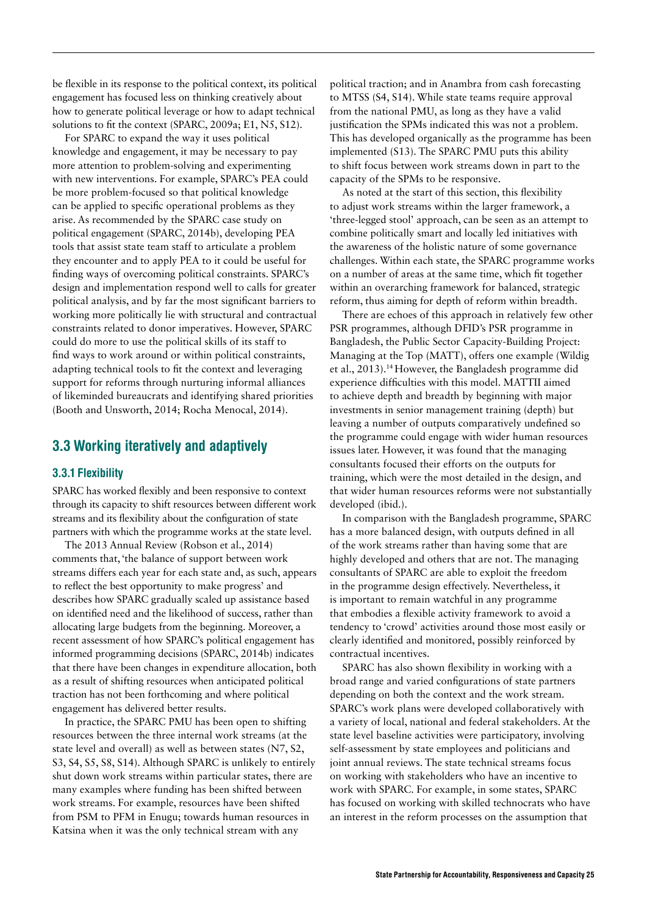<span id="page-25-0"></span>be flexible in its response to the political context, its political engagement has focused less on thinking creatively about how to generate political leverage or how to adapt technical solutions to fit the context (SPARC, 2009a; E1, N5, S12).

For SPARC to expand the way it uses political knowledge and engagement, it may be necessary to pay more attention to problem-solving and experimenting with new interventions. For example, SPARC's PEA could be more problem-focused so that political knowledge can be applied to specific operational problems as they arise. As recommended by the SPARC case study on political engagement (SPARC, 2014b), developing PEA tools that assist state team staff to articulate a problem they encounter and to apply PEA to it could be useful for finding ways of overcoming political constraints. SPARC's design and implementation respond well to calls for greater political analysis, and by far the most significant barriers to working more politically lie with structural and contractual constraints related to donor imperatives. However, SPARC could do more to use the political skills of its staff to find ways to work around or within political constraints, adapting technical tools to fit the context and leveraging support for reforms through nurturing informal alliances of likeminded bureaucrats and identifying shared priorities (Booth and Unsworth, 2014; Rocha Menocal, 2014).

### 3.3 Working iteratively and adaptively

#### 3.3.1 Flexibility

SPARC has worked flexibly and been responsive to context through its capacity to shift resources between different work streams and its flexibility about the configuration of state partners with which the programme works at the state level.

The 2013 Annual Review (Robson et al., 2014) comments that, 'the balance of support between work streams differs each year for each state and, as such, appears to reflect the best opportunity to make progress' and describes how SPARC gradually scaled up assistance based on identified need and the likelihood of success, rather than allocating large budgets from the beginning. Moreover, a recent assessment of how SPARC's political engagement has informed programming decisions (SPARC, 2014b) indicates that there have been changes in expenditure allocation, both as a result of shifting resources when anticipated political traction has not been forthcoming and where political engagement has delivered better results.

In practice, the SPARC PMU has been open to shifting resources between the three internal work streams (at the state level and overall) as well as between states (N7, S2, S3, S4, S5, S8, S14). Although SPARC is unlikely to entirely shut down work streams within particular states, there are many examples where funding has been shifted between work streams. For example, resources have been shifted from PSM to PFM in Enugu; towards human resources in Katsina when it was the only technical stream with any

political traction; and in Anambra from cash forecasting to MTSS (S4, S14). While state teams require approval from the national PMU, as long as they have a valid justification the SPMs indicated this was not a problem. This has developed organically as the programme has been implemented (S13). The SPARC PMU puts this ability to shift focus between work streams down in part to the capacity of the SPMs to be responsive.

As noted at the start of this section, this flexibility to adjust work streams within the larger framework, a 'three-legged stool' approach, can be seen as an attempt to combine politically smart and locally led initiatives with the awareness of the holistic nature of some governance challenges. Within each state, the SPARC programme works on a number of areas at the same time, which fit together within an overarching framework for balanced, strategic reform, thus aiming for depth of reform within breadth.

There are echoes of this approach in relatively few other PSR programmes, although DFID's PSR programme in Bangladesh, the Public Sector Capacity-Building Project: Managing at the Top (MATT), offers one example (Wildig et al., 2013).14 However, the Bangladesh programme did experience difficulties with this model. MATTII aimed to achieve depth and breadth by beginning with major investments in senior management training (depth) but leaving a number of outputs comparatively undefined so the programme could engage with wider human resources issues later. However, it was found that the managing consultants focused their efforts on the outputs for training, which were the most detailed in the design, and that wider human resources reforms were not substantially developed (ibid.).

In comparison with the Bangladesh programme, SPARC has a more balanced design, with outputs defined in all of the work streams rather than having some that are highly developed and others that are not. The managing consultants of SPARC are able to exploit the freedom in the programme design effectively. Nevertheless, it is important to remain watchful in any programme that embodies a flexible activity framework to avoid a tendency to 'crowd' activities around those most easily or clearly identified and monitored, possibly reinforced by contractual incentives.

SPARC has also shown flexibility in working with a broad range and varied configurations of state partners depending on both the context and the work stream. SPARC's work plans were developed collaboratively with a variety of local, national and federal stakeholders. At the state level baseline activities were participatory, involving self-assessment by state employees and politicians and joint annual reviews. The state technical streams focus on working with stakeholders who have an incentive to work with SPARC. For example, in some states, SPARC has focused on working with skilled technocrats who have an interest in the reform processes on the assumption that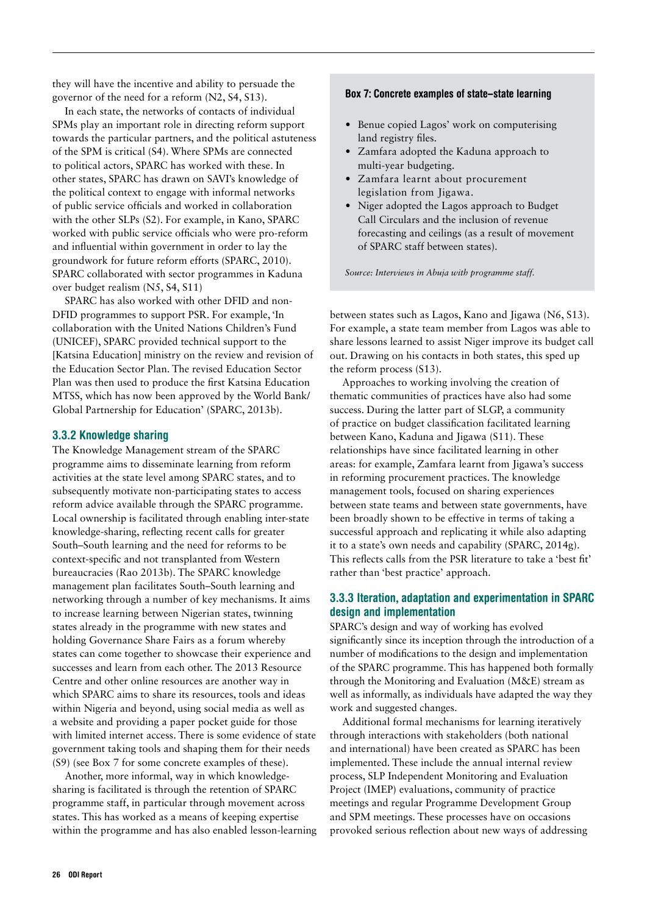<span id="page-26-0"></span>they will have the incentive and ability to persuade the governor of the need for a reform (N2, S4, S13).

In each state, the networks of contacts of individual SPMs play an important role in directing reform support towards the particular partners, and the political astuteness of the SPM is critical (S4). Where SPMs are connected to political actors, SPARC has worked with these. In other states, SPARC has drawn on SAVI's knowledge of the political context to engage with informal networks of public service officials and worked in collaboration with the other SLPs (S2). For example, in Kano, SPARC worked with public service officials who were pro-reform and influential within government in order to lay the groundwork for future reform efforts (SPARC, 2010). SPARC collaborated with sector programmes in Kaduna over budget realism (N5, S4, S11)

SPARC has also worked with other DFID and non-DFID programmes to support PSR. For example, 'In collaboration with the United Nations Children's Fund (UNICEF), SPARC provided technical support to the [Katsina Education] ministry on the review and revision of the Education Sector Plan. The revised Education Sector Plan was then used to produce the first Katsina Education MTSS, which has now been approved by the World Bank/ Global Partnership for Education' (SPARC, 2013b).

#### 3.3.2 Knowledge sharing

The Knowledge Management stream of the SPARC programme aims to disseminate learning from reform activities at the state level among SPARC states, and to subsequently motivate non-participating states to access reform advice available through the SPARC programme. Local ownership is facilitated through enabling inter-state knowledge-sharing, reflecting recent calls for greater South–South learning and the need for reforms to be context-specific and not transplanted from Western bureaucracies (Rao 2013b). The SPARC knowledge management plan facilitates South–South learning and networking through a number of key mechanisms. It aims to increase learning between Nigerian states, twinning states already in the programme with new states and holding Governance Share Fairs as a forum whereby states can come together to showcase their experience and successes and learn from each other. The 2013 Resource Centre and other online resources are another way in which SPARC aims to share its resources, tools and ideas within Nigeria and beyond, using social media as well as a website and providing a paper pocket guide for those with limited internet access. There is some evidence of state government taking tools and shaping them for their needs (S9) (see Box 7 for some concrete examples of these).

Another, more informal, way in which knowledgesharing is facilitated is through the retention of SPARC programme staff, in particular through movement across states. This has worked as a means of keeping expertise within the programme and has also enabled lesson-learning

#### Box 7: Concrete examples of state–state learning

- **•** Benue copied Lagos' work on computerising land registry files.
- **•** Zamfara adopted the Kaduna approach to multi-year budgeting.
- **•** Zamfara learnt about procurement legislation from Jigawa.
- **•** Niger adopted the Lagos approach to Budget Call Circulars and the inclusion of revenue forecasting and ceilings (as a result of movement of SPARC staff between states).

*Source: Interviews in Abuja with programme staff.*

between states such as Lagos, Kano and Jigawa (N6, S13). For example, a state team member from Lagos was able to share lessons learned to assist Niger improve its budget call out. Drawing on his contacts in both states, this sped up the reform process (S13).

Approaches to working involving the creation of thematic communities of practices have also had some success. During the latter part of SLGP, a community of practice on budget classification facilitated learning between Kano, Kaduna and Jigawa (S11). These relationships have since facilitated learning in other areas: for example, Zamfara learnt from Jigawa's success in reforming procurement practices. The knowledge management tools, focused on sharing experiences between state teams and between state governments, have been broadly shown to be effective in terms of taking a successful approach and replicating it while also adapting it to a state's own needs and capability (SPARC, 2014g). This reflects calls from the PSR literature to take a 'best fit' rather than 'best practice' approach.

#### 3.3.3 Iteration, adaptation and experimentation in SPARC design and implementation

SPARC's design and way of working has evolved significantly since its inception through the introduction of a number of modifications to the design and implementation of the SPARC programme. This has happened both formally through the Monitoring and Evaluation (M&E) stream as well as informally, as individuals have adapted the way they work and suggested changes.

Additional formal mechanisms for learning iteratively through interactions with stakeholders (both national and international) have been created as SPARC has been implemented. These include the annual internal review process, SLP Independent Monitoring and Evaluation Project (IMEP) evaluations, community of practice meetings and regular Programme Development Group and SPM meetings. These processes have on occasions provoked serious reflection about new ways of addressing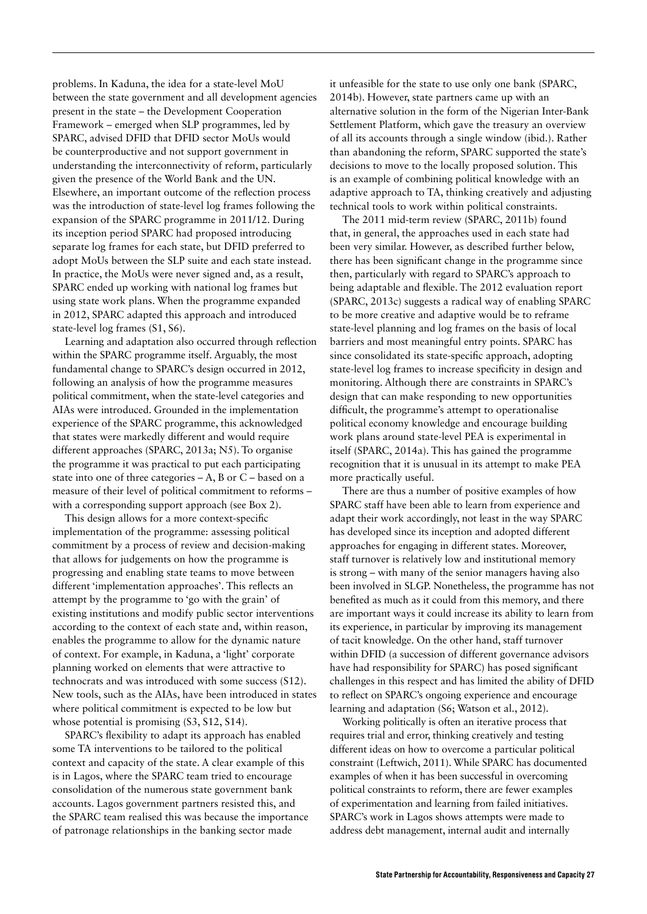problems. In Kaduna, the idea for a state-level MoU between the state government and all development agencies present in the state – the Development Cooperation Framework – emerged when SLP programmes, led by SPARC, advised DFID that DFID sector MoUs would be counterproductive and not support government in understanding the interconnectivity of reform, particularly given the presence of the World Bank and the UN. Elsewhere, an important outcome of the reflection process was the introduction of state-level log frames following the expansion of the SPARC programme in 2011/12. During its inception period SPARC had proposed introducing separate log frames for each state, but DFID preferred to adopt MoUs between the SLP suite and each state instead. In practice, the MoUs were never signed and, as a result, SPARC ended up working with national log frames but using state work plans. When the programme expanded in 2012, SPARC adapted this approach and introduced state-level log frames (S1, S6).

Learning and adaptation also occurred through reflection within the SPARC programme itself. Arguably, the most fundamental change to SPARC's design occurred in 2012, following an analysis of how the programme measures political commitment, when the state-level categories and AIAs were introduced. Grounded in the implementation experience of the SPARC programme, this acknowledged that states were markedly different and would require different approaches (SPARC, 2013a; N5). To organise the programme it was practical to put each participating state into one of three categories  $-A$ , B or  $C$  – based on a measure of their level of political commitment to reforms – with a corresponding support approach (see Box 2).

This design allows for a more context-specific implementation of the programme: assessing political commitment by a process of review and decision-making that allows for judgements on how the programme is progressing and enabling state teams to move between different 'implementation approaches'. This reflects an attempt by the programme to 'go with the grain' of existing institutions and modify public sector interventions according to the context of each state and, within reason, enables the programme to allow for the dynamic nature of context. For example, in Kaduna, a 'light' corporate planning worked on elements that were attractive to technocrats and was introduced with some success (S12). New tools, such as the AIAs, have been introduced in states where political commitment is expected to be low but whose potential is promising  $(S3, S12, S14)$ .

SPARC's flexibility to adapt its approach has enabled some TA interventions to be tailored to the political context and capacity of the state. A clear example of this is in Lagos, where the SPARC team tried to encourage consolidation of the numerous state government bank accounts. Lagos government partners resisted this, and the SPARC team realised this was because the importance of patronage relationships in the banking sector made

it unfeasible for the state to use only one bank (SPARC, 2014b). However, state partners came up with an alternative solution in the form of the Nigerian Inter-Bank Settlement Platform, which gave the treasury an overview of all its accounts through a single window (ibid.). Rather than abandoning the reform, SPARC supported the state's decisions to move to the locally proposed solution. This is an example of combining political knowledge with an adaptive approach to TA, thinking creatively and adjusting technical tools to work within political constraints.

The 2011 mid-term review (SPARC, 2011b) found that, in general, the approaches used in each state had been very similar. However, as described further below, there has been significant change in the programme since then, particularly with regard to SPARC's approach to being adaptable and flexible. The 2012 evaluation report (SPARC, 2013c) suggests a radical way of enabling SPARC to be more creative and adaptive would be to reframe state-level planning and log frames on the basis of local barriers and most meaningful entry points. SPARC has since consolidated its state-specific approach, adopting state-level log frames to increase specificity in design and monitoring. Although there are constraints in SPARC's design that can make responding to new opportunities difficult, the programme's attempt to operationalise political economy knowledge and encourage building work plans around state-level PEA is experimental in itself (SPARC, 2014a). This has gained the programme recognition that it is unusual in its attempt to make PEA more practically useful.

There are thus a number of positive examples of how SPARC staff have been able to learn from experience and adapt their work accordingly, not least in the way SPARC has developed since its inception and adopted different approaches for engaging in different states. Moreover, staff turnover is relatively low and institutional memory is strong – with many of the senior managers having also been involved in SLGP. Nonetheless, the programme has not benefited as much as it could from this memory, and there are important ways it could increase its ability to learn from its experience, in particular by improving its management of tacit knowledge. On the other hand, staff turnover within DFID (a succession of different governance advisors have had responsibility for SPARC) has posed significant challenges in this respect and has limited the ability of DFID to reflect on SPARC's ongoing experience and encourage learning and adaptation (S6; Watson et al., 2012).

Working politically is often an iterative process that requires trial and error, thinking creatively and testing different ideas on how to overcome a particular political constraint (Leftwich, 2011). While SPARC has documented examples of when it has been successful in overcoming political constraints to reform, there are fewer examples of experimentation and learning from failed initiatives. SPARC's work in Lagos shows attempts were made to address debt management, internal audit and internally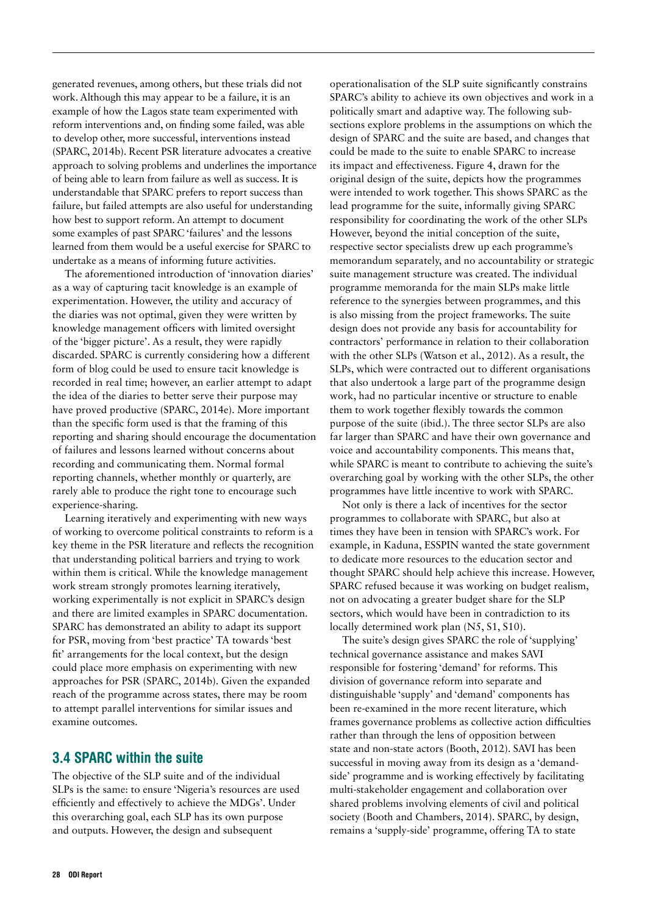<span id="page-28-0"></span>generated revenues, among others, but these trials did not work. Although this may appear to be a failure, it is an example of how the Lagos state team experimented with reform interventions and, on finding some failed, was able to develop other, more successful, interventions instead (SPARC, 2014b). Recent PSR literature advocates a creative approach to solving problems and underlines the importance of being able to learn from failure as well as success. It is understandable that SPARC prefers to report success than failure, but failed attempts are also useful for understanding how best to support reform. An attempt to document some examples of past SPARC 'failures' and the lessons learned from them would be a useful exercise for SPARC to undertake as a means of informing future activities.

The aforementioned introduction of 'innovation diaries' as a way of capturing tacit knowledge is an example of experimentation. However, the utility and accuracy of the diaries was not optimal, given they were written by knowledge management officers with limited oversight of the 'bigger picture'. As a result, they were rapidly discarded. SPARC is currently considering how a different form of blog could be used to ensure tacit knowledge is recorded in real time; however, an earlier attempt to adapt the idea of the diaries to better serve their purpose may have proved productive (SPARC, 2014e). More important than the specific form used is that the framing of this reporting and sharing should encourage the documentation of failures and lessons learned without concerns about recording and communicating them. Normal formal reporting channels, whether monthly or quarterly, are rarely able to produce the right tone to encourage such experience-sharing.

Learning iteratively and experimenting with new ways of working to overcome political constraints to reform is a key theme in the PSR literature and reflects the recognition that understanding political barriers and trying to work within them is critical. While the knowledge management work stream strongly promotes learning iteratively, working experimentally is not explicit in SPARC's design and there are limited examples in SPARC documentation. SPARC has demonstrated an ability to adapt its support for PSR, moving from 'best practice' TA towards 'best fit' arrangements for the local context, but the design could place more emphasis on experimenting with new approaches for PSR (SPARC, 2014b). Given the expanded reach of the programme across states, there may be room to attempt parallel interventions for similar issues and examine outcomes.

### 3.4 SPARC within the suite

The objective of the SLP suite and of the individual SLPs is the same: to ensure 'Nigeria's resources are used efficiently and effectively to achieve the MDGs'. Under this overarching goal, each SLP has its own purpose and outputs. However, the design and subsequent

operationalisation of the SLP suite significantly constrains SPARC's ability to achieve its own objectives and work in a politically smart and adaptive way. The following subsections explore problems in the assumptions on which the design of SPARC and the suite are based, and changes that could be made to the suite to enable SPARC to increase its impact and effectiveness. Figure 4, drawn for the original design of the suite, depicts how the programmes were intended to work together. This shows SPARC as the lead programme for the suite, informally giving SPARC responsibility for coordinating the work of the other SLPs However, beyond the initial conception of the suite, respective sector specialists drew up each programme's memorandum separately, and no accountability or strategic suite management structure was created. The individual programme memoranda for the main SLPs make little reference to the synergies between programmes, and this is also missing from the project frameworks. The suite design does not provide any basis for accountability for contractors' performance in relation to their collaboration with the other SLPs (Watson et al., 2012). As a result, the SLPs, which were contracted out to different organisations that also undertook a large part of the programme design work, had no particular incentive or structure to enable them to work together flexibly towards the common purpose of the suite (ibid.). The three sector SLPs are also far larger than SPARC and have their own governance and voice and accountability components. This means that, while SPARC is meant to contribute to achieving the suite's overarching goal by working with the other SLPs, the other programmes have little incentive to work with SPARC.

Not only is there a lack of incentives for the sector programmes to collaborate with SPARC, but also at times they have been in tension with SPARC's work. For example, in Kaduna, ESSPIN wanted the state government to dedicate more resources to the education sector and thought SPARC should help achieve this increase. However, SPARC refused because it was working on budget realism, not on advocating a greater budget share for the SLP sectors, which would have been in contradiction to its locally determined work plan (N5, S1, S10).

The suite's design gives SPARC the role of 'supplying' technical governance assistance and makes SAVI responsible for fostering 'demand' for reforms. This division of governance reform into separate and distinguishable 'supply' and 'demand' components has been re-examined in the more recent literature, which frames governance problems as collective action difficulties rather than through the lens of opposition between state and non-state actors (Booth, 2012). SAVI has been successful in moving away from its design as a 'demandside' programme and is working effectively by facilitating multi-stakeholder engagement and collaboration over shared problems involving elements of civil and political society (Booth and Chambers, 2014). SPARC, by design, remains a 'supply-side' programme, offering TA to state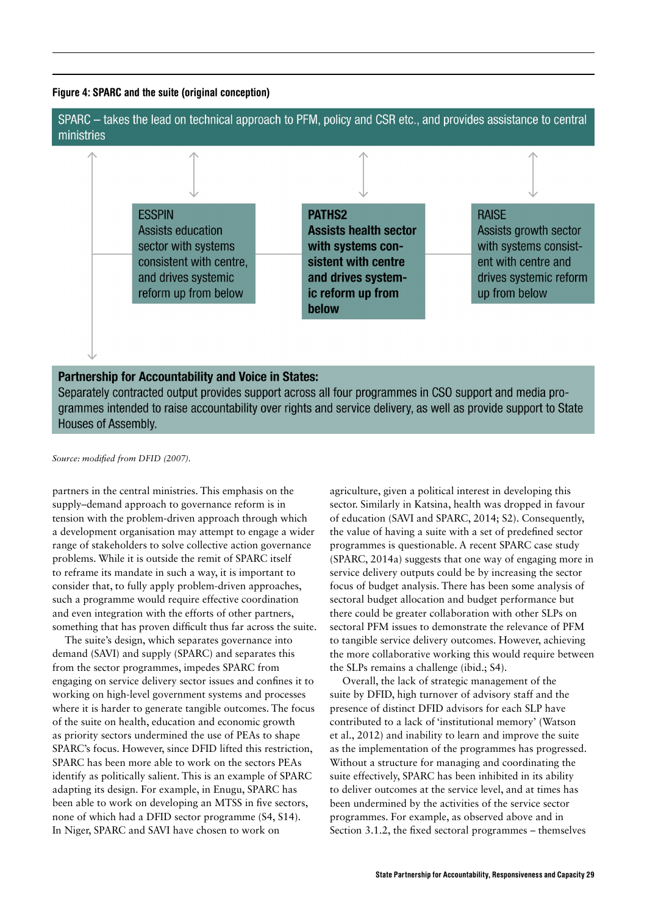#### <span id="page-29-0"></span>Figure 4: SPARC and the suite (original conception)



Separately contracted output provides support across all four programmes in CSO support and media programmes intended to raise accountability over rights and service delivery, as well as provide support to State **Houses of Assembly.** 

*Source: modified from DFID (2007).* 

partners in the central ministries. This emphasis on the supply–demand approach to governance reform is in tension with the problem-driven approach through which a development organisation may attempt to engage a wider range of stakeholders to solve collective action governance problems. While it is outside the remit of SPARC itself to reframe its mandate in such a way, it is important to consider that, to fully apply problem-driven approaches, such a programme would require effective coordination and even integration with the efforts of other partners, something that has proven difficult thus far across the suite.

The suite's design, which separates governance into demand (SAVI) and supply (SPARC) and separates this from the sector programmes, impedes SPARC from engaging on service delivery sector issues and confines it to working on high-level government systems and processes where it is harder to generate tangible outcomes. The focus of the suite on health, education and economic growth as priority sectors undermined the use of PEAs to shape SPARC's focus. However, since DFID lifted this restriction, SPARC has been more able to work on the sectors PEAs identify as politically salient. This is an example of SPARC adapting its design. For example, in Enugu, SPARC has been able to work on developing an MTSS in five sectors, none of which had a DFID sector programme (S4, S14). In Niger, SPARC and SAVI have chosen to work on

agriculture, given a political interest in developing this sector. Similarly in Katsina, health was dropped in favour of education (SAVI and SPARC, 2014; S2). Consequently, the value of having a suite with a set of predefined sector programmes is questionable. A recent SPARC case study (SPARC, 2014a) suggests that one way of engaging more in service delivery outputs could be by increasing the sector focus of budget analysis. There has been some analysis of sectoral budget allocation and budget performance but there could be greater collaboration with other SLPs on sectoral PFM issues to demonstrate the relevance of PFM to tangible service delivery outcomes. However, achieving the more collaborative working this would require between the SLPs remains a challenge (ibid.; S4).

Overall, the lack of strategic management of the suite by DFID, high turnover of advisory staff and the presence of distinct DFID advisors for each SLP have contributed to a lack of 'institutional memory' (Watson et al., 2012) and inability to learn and improve the suite as the implementation of the programmes has progressed. Without a structure for managing and coordinating the suite effectively, SPARC has been inhibited in its ability to deliver outcomes at the service level, and at times has been undermined by the activities of the service sector programmes. For example, as observed above and in Section 3.1.2, the fixed sectoral programmes – themselves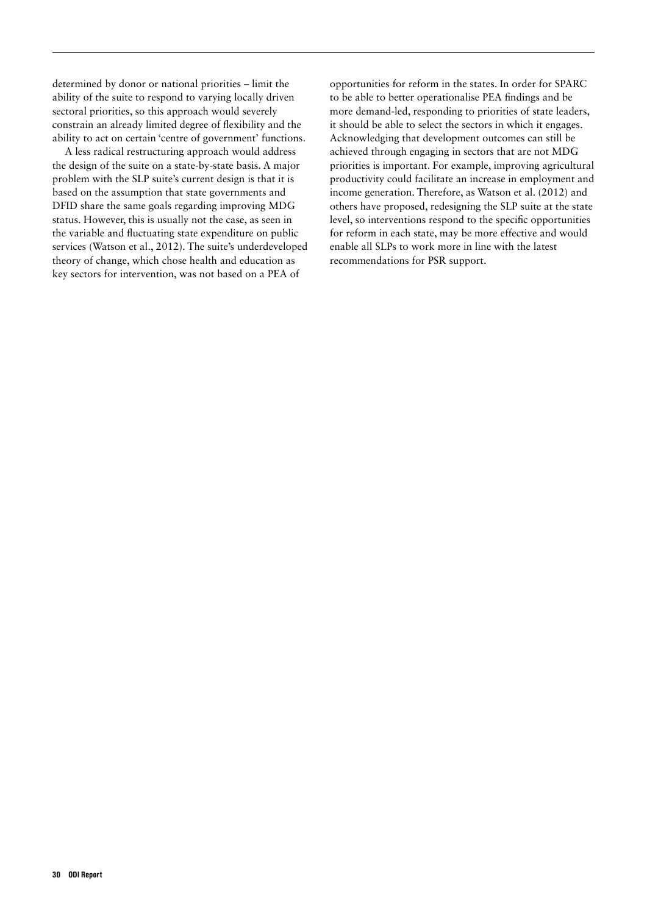determined by donor or national priorities – limit the ability of the suite to respond to varying locally driven sectoral priorities, so this approach would severely constrain an already limited degree of flexibility and the ability to act on certain 'centre of government' functions.

A less radical restructuring approach would address the design of the suite on a state-by-state basis. A major problem with the SLP suite's current design is that it is based on the assumption that state governments and DFID share the same goals regarding improving MDG status. However, this is usually not the case, as seen in the variable and fluctuating state expenditure on public services (Watson et al., 2012). The suite's underdeveloped theory of change, which chose health and education as key sectors for intervention, was not based on a PEA of

opportunities for reform in the states. In order for SPARC to be able to better operationalise PEA findings and be more demand-led, responding to priorities of state leaders, it should be able to select the sectors in which it engages. Acknowledging that development outcomes can still be achieved through engaging in sectors that are not MDG priorities is important. For example, improving agricultural productivity could facilitate an increase in employment and income generation. Therefore, as Watson et al. (2012) and others have proposed, redesigning the SLP suite at the state level, so interventions respond to the specific opportunities for reform in each state, may be more effective and would enable all SLPs to work more in line with the latest recommendations for PSR support.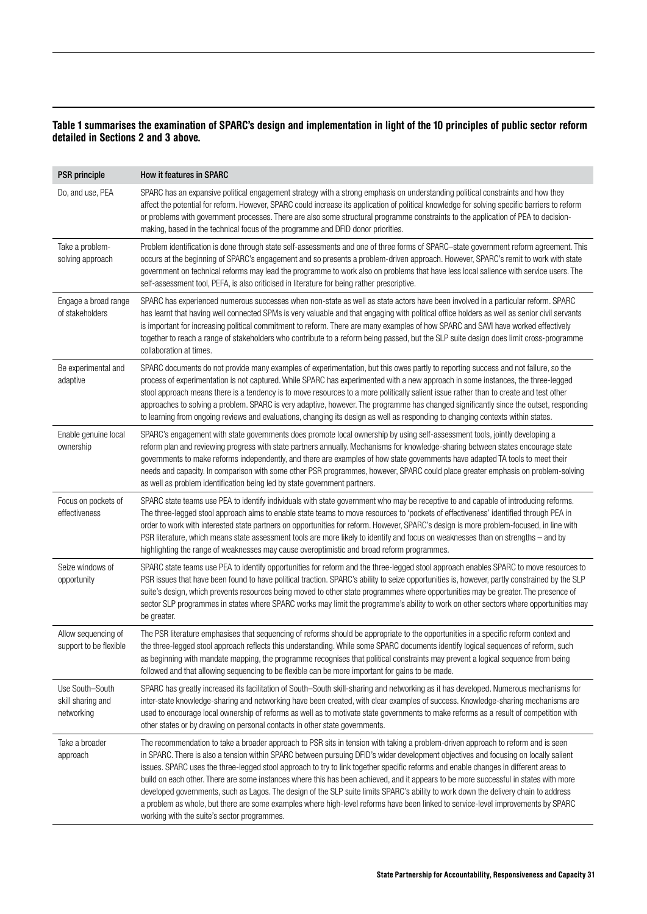#### <span id="page-31-0"></span>Table 1 summarises the examination of SPARC's design and implementation in light of the 10 principles of public sector reform detailed in Sections 2 and 3 above.

| <b>PSR</b> principle                               | <b>How it features in SPARC</b>                                                                                                                                                                                                                                                                                                                                                                                                                                                                                                                                                                                                                                                                                                                                                                                                                                                   |
|----------------------------------------------------|-----------------------------------------------------------------------------------------------------------------------------------------------------------------------------------------------------------------------------------------------------------------------------------------------------------------------------------------------------------------------------------------------------------------------------------------------------------------------------------------------------------------------------------------------------------------------------------------------------------------------------------------------------------------------------------------------------------------------------------------------------------------------------------------------------------------------------------------------------------------------------------|
| Do, and use, PEA                                   | SPARC has an expansive political engagement strategy with a strong emphasis on understanding political constraints and how they<br>affect the potential for reform. However, SPARC could increase its application of political knowledge for solving specific barriers to reform<br>or problems with government processes. There are also some structural programme constraints to the application of PEA to decision-<br>making, based in the technical focus of the programme and DFID donor priorities.                                                                                                                                                                                                                                                                                                                                                                        |
| Take a problem-<br>solving approach                | Problem identification is done through state self-assessments and one of three forms of SPARC-state government reform agreement. This<br>occurs at the beginning of SPARC's engagement and so presents a problem-driven approach. However, SPARC's remit to work with state<br>government on technical reforms may lead the programme to work also on problems that have less local salience with service users. The<br>self-assessment tool, PEFA, is also criticised in literature for being rather prescriptive.                                                                                                                                                                                                                                                                                                                                                               |
| Engage a broad range<br>of stakeholders            | SPARC has experienced numerous successes when non-state as well as state actors have been involved in a particular reform. SPARC<br>has learnt that having well connected SPMs is very valuable and that engaging with political office holders as well as senior civil servants<br>is important for increasing political commitment to reform. There are many examples of how SPARC and SAVI have worked effectively<br>together to reach a range of stakeholders who contribute to a reform being passed, but the SLP suite design does limit cross-programme<br>collaboration at times.                                                                                                                                                                                                                                                                                        |
| Be experimental and<br>adaptive                    | SPARC documents do not provide many examples of experimentation, but this owes partly to reporting success and not failure, so the<br>process of experimentation is not captured. While SPARC has experimented with a new approach in some instances, the three-legged<br>stool approach means there is a tendency is to move resources to a more politically salient issue rather than to create and test other<br>approaches to solving a problem. SPARC is very adaptive, however. The programme has changed significantly since the outset, responding<br>to learning from ongoing reviews and evaluations, changing its design as well as responding to changing contexts within states.                                                                                                                                                                                     |
| Enable genuine local<br>ownership                  | SPARC's engagement with state governments does promote local ownership by using self-assessment tools, jointly developing a<br>reform plan and reviewing progress with state partners annually. Mechanisms for knowledge-sharing between states encourage state<br>governments to make reforms independently, and there are examples of how state governments have adapted TA tools to meet their<br>needs and capacity. In comparison with some other PSR programmes, however, SPARC could place greater emphasis on problem-solving<br>as well as problem identification being led by state government partners.                                                                                                                                                                                                                                                                |
| Focus on pockets of<br>effectiveness               | SPARC state teams use PEA to identify individuals with state government who may be receptive to and capable of introducing reforms.<br>The three-legged stool approach aims to enable state teams to move resources to 'pockets of effectiveness' identified through PEA in<br>order to work with interested state partners on opportunities for reform. However, SPARC's design is more problem-focused, in line with<br>PSR literature, which means state assessment tools are more likely to identify and focus on weaknesses than on strengths - and by<br>highlighting the range of weaknesses may cause overoptimistic and broad reform programmes.                                                                                                                                                                                                                         |
| Seize windows of<br>opportunity                    | SPARC state teams use PEA to identify opportunities for reform and the three-legged stool approach enables SPARC to move resources to<br>PSR issues that have been found to have political traction. SPARC's ability to seize opportunities is, however, partly constrained by the SLP<br>suite's design, which prevents resources being moved to other state programmes where opportunities may be greater. The presence of<br>sector SLP programmes in states where SPARC works may limit the programme's ability to work on other sectors where opportunities may<br>be greater.                                                                                                                                                                                                                                                                                               |
| Allow sequencing of<br>support to be flexible      | The PSR literature emphasises that sequencing of reforms should be appropriate to the opportunities in a specific reform context and<br>the three-legged stool approach reflects this understanding. While some SPARC documents identify logical sequences of reform, such<br>as beginning with mandate mapping, the programme recognises that political constraints may prevent a logical sequence from being<br>followed and that allowing sequencing to be flexible can be more important for gains to be made.                                                                                                                                                                                                                                                                                                                                                                |
| Use South-South<br>skill sharing and<br>networking | SPARC has greatly increased its facilitation of South-South skill-sharing and networking as it has developed. Numerous mechanisms for<br>inter-state knowledge-sharing and networking have been created, with clear examples of success. Knowledge-sharing mechanisms are<br>used to encourage local ownership of reforms as well as to motivate state governments to make reforms as a result of competition with<br>other states or by drawing on personal contacts in other state governments.                                                                                                                                                                                                                                                                                                                                                                                 |
| Take a broader<br>approach                         | The recommendation to take a broader approach to PSR sits in tension with taking a problem-driven approach to reform and is seen<br>in SPARC. There is also a tension within SPARC between pursuing DFID's wider development objectives and focusing on locally salient<br>issues. SPARC uses the three-legged stool approach to try to link together specific reforms and enable changes in different areas to<br>build on each other. There are some instances where this has been achieved, and it appears to be more successful in states with more<br>developed governments, such as Lagos. The design of the SLP suite limits SPARC's ability to work down the delivery chain to address<br>a problem as whole, but there are some examples where high-level reforms have been linked to service-level improvements by SPARC<br>working with the suite's sector programmes. |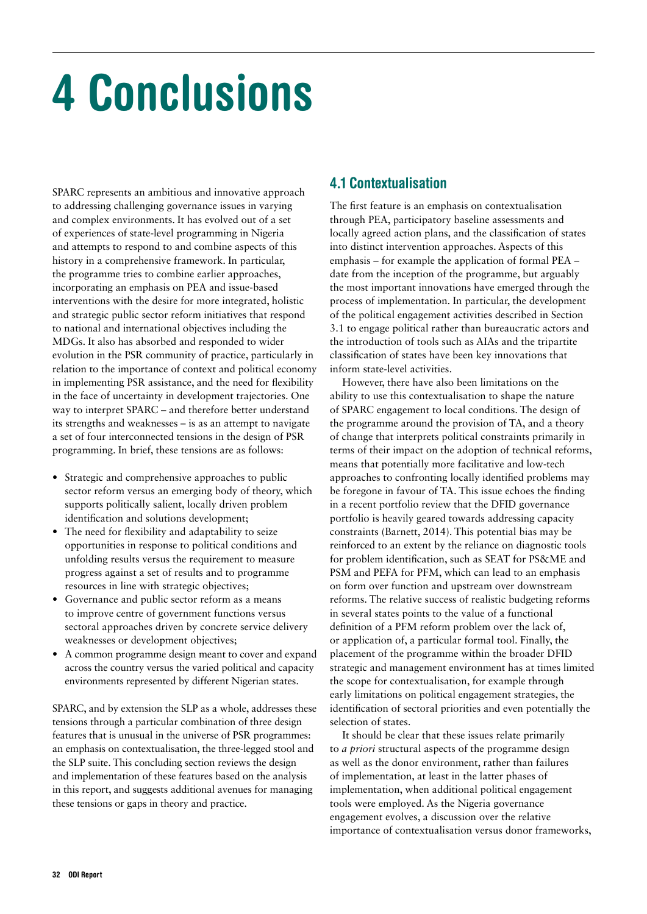# <span id="page-32-0"></span>4 Conclusions

SPARC represents an ambitious and innovative approach to addressing challenging governance issues in varying and complex environments. It has evolved out of a set of experiences of state-level programming in Nigeria and attempts to respond to and combine aspects of this history in a comprehensive framework. In particular, the programme tries to combine earlier approaches, incorporating an emphasis on PEA and issue-based interventions with the desire for more integrated, holistic and strategic public sector reform initiatives that respond to national and international objectives including the MDGs. It also has absorbed and responded to wider evolution in the PSR community of practice, particularly in relation to the importance of context and political economy in implementing PSR assistance, and the need for flexibility in the face of uncertainty in development trajectories. One way to interpret SPARC – and therefore better understand its strengths and weaknesses – is as an attempt to navigate a set of four interconnected tensions in the design of PSR programming. In brief, these tensions are as follows:

- **•** Strategic and comprehensive approaches to public sector reform versus an emerging body of theory, which supports politically salient, locally driven problem identification and solutions development;
- The need for flexibility and adaptability to seize opportunities in response to political conditions and unfolding results versus the requirement to measure progress against a set of results and to programme resources in line with strategic objectives;
- **•** Governance and public sector reform as a means to improve centre of government functions versus sectoral approaches driven by concrete service delivery weaknesses or development objectives;
- **•** A common programme design meant to cover and expand across the country versus the varied political and capacity environments represented by different Nigerian states.

SPARC, and by extension the SLP as a whole, addresses these tensions through a particular combination of three design features that is unusual in the universe of PSR programmes: an emphasis on contextualisation, the three-legged stool and the SLP suite. This concluding section reviews the design and implementation of these features based on the analysis in this report, and suggests additional avenues for managing these tensions or gaps in theory and practice.

# 4.1 Contextualisation

The first feature is an emphasis on contextualisation through PEA, participatory baseline assessments and locally agreed action plans, and the classification of states into distinct intervention approaches. Aspects of this emphasis – for example the application of formal PEA – date from the inception of the programme, but arguably the most important innovations have emerged through the process of implementation. In particular, the development of the political engagement activities described in Section 3.1 to engage political rather than bureaucratic actors and the introduction of tools such as AIAs and the tripartite classification of states have been key innovations that inform state-level activities.

However, there have also been limitations on the ability to use this contextualisation to shape the nature of SPARC engagement to local conditions. The design of the programme around the provision of TA, and a theory of change that interprets political constraints primarily in terms of their impact on the adoption of technical reforms, means that potentially more facilitative and low-tech approaches to confronting locally identified problems may be foregone in favour of TA. This issue echoes the finding in a recent portfolio review that the DFID governance portfolio is heavily geared towards addressing capacity constraints (Barnett, 2014). This potential bias may be reinforced to an extent by the reliance on diagnostic tools for problem identification, such as SEAT for PS&ME and PSM and PEFA for PFM, which can lead to an emphasis on form over function and upstream over downstream reforms. The relative success of realistic budgeting reforms in several states points to the value of a functional definition of a PFM reform problem over the lack of, or application of, a particular formal tool. Finally, the placement of the programme within the broader DFID strategic and management environment has at times limited the scope for contextualisation, for example through early limitations on political engagement strategies, the identification of sectoral priorities and even potentially the selection of states.

It should be clear that these issues relate primarily to *a priori* structural aspects of the programme design as well as the donor environment, rather than failures of implementation, at least in the latter phases of implementation, when additional political engagement tools were employed. As the Nigeria governance engagement evolves, a discussion over the relative importance of contextualisation versus donor frameworks,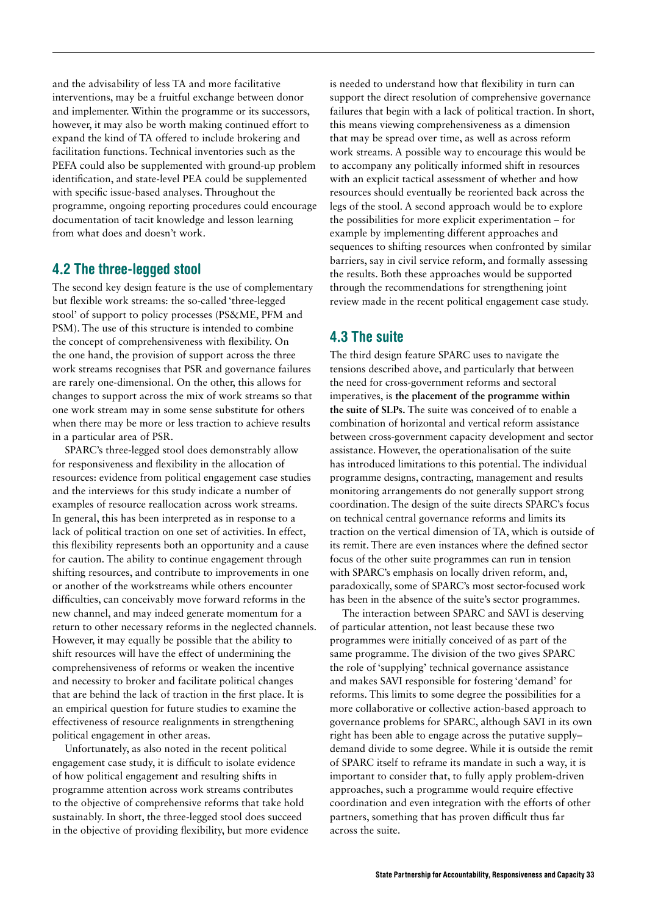<span id="page-33-0"></span>and the advisability of less TA and more facilitative interventions, may be a fruitful exchange between donor and implementer. Within the programme or its successors, however, it may also be worth making continued effort to expand the kind of TA offered to include brokering and facilitation functions. Technical inventories such as the PEFA could also be supplemented with ground-up problem identification, and state-level PEA could be supplemented with specific issue-based analyses. Throughout the programme, ongoing reporting procedures could encourage documentation of tacit knowledge and lesson learning from what does and doesn't work.

### 4.2 The three-legged stool

The second key design feature is the use of complementary but flexible work streams: the so-called 'three-legged stool' of support to policy processes (PS&ME, PFM and PSM). The use of this structure is intended to combine the concept of comprehensiveness with flexibility. On the one hand, the provision of support across the three work streams recognises that PSR and governance failures are rarely one-dimensional. On the other, this allows for changes to support across the mix of work streams so that one work stream may in some sense substitute for others when there may be more or less traction to achieve results in a particular area of PSR.

SPARC's three-legged stool does demonstrably allow for responsiveness and flexibility in the allocation of resources: evidence from political engagement case studies and the interviews for this study indicate a number of examples of resource reallocation across work streams. In general, this has been interpreted as in response to a lack of political traction on one set of activities. In effect, this flexibility represents both an opportunity and a cause for caution. The ability to continue engagement through shifting resources, and contribute to improvements in one or another of the workstreams while others encounter difficulties, can conceivably move forward reforms in the new channel, and may indeed generate momentum for a return to other necessary reforms in the neglected channels. However, it may equally be possible that the ability to shift resources will have the effect of undermining the comprehensiveness of reforms or weaken the incentive and necessity to broker and facilitate political changes that are behind the lack of traction in the first place. It is an empirical question for future studies to examine the effectiveness of resource realignments in strengthening political engagement in other areas.

Unfortunately, as also noted in the recent political engagement case study, it is difficult to isolate evidence of how political engagement and resulting shifts in programme attention across work streams contributes to the objective of comprehensive reforms that take hold sustainably. In short, the three-legged stool does succeed in the objective of providing flexibility, but more evidence

is needed to understand how that flexibility in turn can support the direct resolution of comprehensive governance failures that begin with a lack of political traction. In short, this means viewing comprehensiveness as a dimension that may be spread over time, as well as across reform work streams. A possible way to encourage this would be to accompany any politically informed shift in resources with an explicit tactical assessment of whether and how resources should eventually be reoriented back across the legs of the stool. A second approach would be to explore the possibilities for more explicit experimentation – for example by implementing different approaches and sequences to shifting resources when confronted by similar barriers, say in civil service reform, and formally assessing the results. Both these approaches would be supported through the recommendations for strengthening joint review made in the recent political engagement case study.

## 4.3 The suite

The third design feature SPARC uses to navigate the tensions described above, and particularly that between the need for cross-government reforms and sectoral imperatives, is **the placement of the programme within the suite of SLPs.** The suite was conceived of to enable a combination of horizontal and vertical reform assistance between cross-government capacity development and sector assistance. However, the operationalisation of the suite has introduced limitations to this potential. The individual programme designs, contracting, management and results monitoring arrangements do not generally support strong coordination. The design of the suite directs SPARC's focus on technical central governance reforms and limits its traction on the vertical dimension of TA, which is outside of its remit. There are even instances where the defined sector focus of the other suite programmes can run in tension with SPARC's emphasis on locally driven reform, and, paradoxically, some of SPARC's most sector-focused work has been in the absence of the suite's sector programmes.

The interaction between SPARC and SAVI is deserving of particular attention, not least because these two programmes were initially conceived of as part of the same programme. The division of the two gives SPARC the role of 'supplying' technical governance assistance and makes SAVI responsible for fostering 'demand' for reforms. This limits to some degree the possibilities for a more collaborative or collective action-based approach to governance problems for SPARC, although SAVI in its own right has been able to engage across the putative supply– demand divide to some degree. While it is outside the remit of SPARC itself to reframe its mandate in such a way, it is important to consider that, to fully apply problem-driven approaches, such a programme would require effective coordination and even integration with the efforts of other partners, something that has proven difficult thus far across the suite.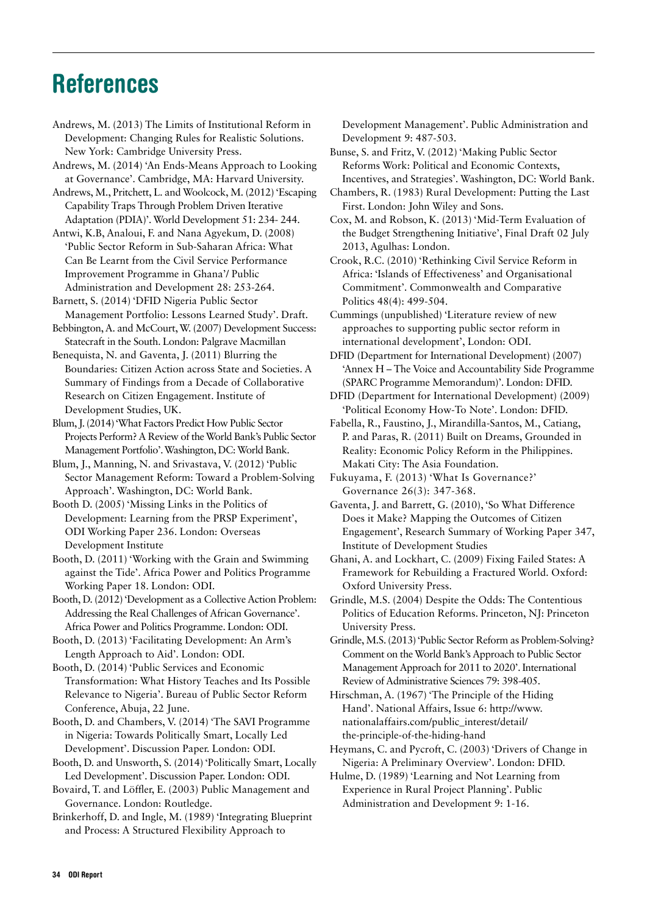# <span id="page-34-0"></span>References

Andrews, M. (2013) The Limits of Institutional Reform in Development: Changing Rules for Realistic Solutions. New York: Cambridge University Press.

Andrews, M. (2014) 'An Ends-Means Approach to Looking at Governance'. Cambridge, MA: Harvard University.

Andrews, M., Pritchett, L. and Woolcock, M. (2012) 'Escaping Capability Traps Through Problem Driven Iterative Adaptation (PDIA)'. World Development 51: 234- 244.

Antwi, K.B, Analoui, F. and Nana Agyekum, D. (2008) 'Public Sector Reform in Sub-Saharan Africa: What Can Be Learnt from the Civil Service Performance Improvement Programme in Ghana'/ Public Administration and Development 28: 253-264.

Barnett, S. (2014) 'DFID Nigeria Public Sector Management Portfolio: Lessons Learned Study'. Draft.

Bebbington, A. and McCourt, W. (2007) Development Success: Statecraft in the South. London: Palgrave Macmillan

Benequista, N. and Gaventa, J. (2011) Blurring the Boundaries: Citizen Action across State and Societies. A Summary of Findings from a Decade of Collaborative Research on Citizen Engagement. Institute of Development Studies, UK.

Blum, J. (2014) 'What Factors Predict How Public Sector Projects Perform? A Review of the World Bank's Public Sector Management Portfolio'. Washington, DC: World Bank.

Blum, J., Manning, N. and Srivastava, V. (2012) 'Public Sector Management Reform: Toward a Problem-Solving Approach'. Washington, DC: World Bank.

Booth D. (2005) 'Missing Links in the Politics of Development: Learning from the PRSP Experiment', ODI Working Paper 236. London: Overseas Development Institute

Booth, D. (2011) 'Working with the Grain and Swimming against the Tide'. Africa Power and Politics Programme Working Paper 18. London: ODI.

Booth, D. (2012) 'Development as a Collective Action Problem: Addressing the Real Challenges of African Governance'. Africa Power and Politics Programme. London: ODI.

Booth, D. (2013) 'Facilitating Development: An Arm's Length Approach to Aid'. London: ODI.

Booth, D. (2014) 'Public Services and Economic Transformation: What History Teaches and Its Possible Relevance to Nigeria'. Bureau of Public Sector Reform Conference, Abuja, 22 June.

Booth, D. and Chambers, V. (2014) 'The SAVI Programme in Nigeria: Towards Politically Smart, Locally Led Development'. Discussion Paper. London: ODI.

Booth, D. and Unsworth, S. (2014) 'Politically Smart, Locally Led Development'. Discussion Paper. London: ODI.

Bovaird, T. and Löffler, E. (2003) Public Management and Governance. London: Routledge.

Brinkerhoff, D. and Ingle, M. (1989) 'Integrating Blueprint and Process: A Structured Flexibility Approach to

Development Management'. Public Administration and Development 9: 487-503.

Bunse, S. and Fritz, V. (2012) 'Making Public Sector Reforms Work: Political and Economic Contexts, Incentives, and Strategies'. Washington, DC: World Bank.

Chambers, R. (1983) Rural Development: Putting the Last First. London: John Wiley and Sons.

Cox, M. and Robson, K. (2013) 'Mid-Term Evaluation of the Budget Strengthening Initiative', Final Draft 02 July 2013, Agulhas: London.

Crook, R.C. (2010) 'Rethinking Civil Service Reform in Africa: 'Islands of Effectiveness' and Organisational Commitment'. Commonwealth and Comparative Politics 48(4): 499-504.

Cummings (unpublished) 'Literature review of new approaches to supporting public sector reform in international development', London: ODI.

DFID (Department for International Development) (2007) 'Annex H – The Voice and Accountability Side Programme (SPARC Programme Memorandum)'. London: DFID.

DFID (Department for International Development) (2009) 'Political Economy How-To Note'. London: DFID.

Fabella, R., Faustino, J., Mirandilla-Santos, M., Catiang, P. and Paras, R. (2011) Built on Dreams, Grounded in Reality: Economic Policy Reform in the Philippines. Makati City: The Asia Foundation.

Fukuyama, F. (2013) 'What Is Governance?' Governance 26(3): 347-368.

Gaventa, J. and Barrett, G. (2010), 'So What Difference Does it Make? Mapping the Outcomes of Citizen Engagement', Research Summary of Working Paper 347, Institute of Development Studies

Ghani, A. and Lockhart, C. (2009) Fixing Failed States: A Framework for Rebuilding a Fractured World. Oxford: Oxford University Press.

Grindle, M.S. (2004) Despite the Odds: The Contentious Politics of Education Reforms. Princeton, NJ: Princeton University Press.

Grindle, M.S. (2013) 'Public Sector Reform as Problem-Solving? Comment on the World Bank's Approach to Public Sector Management Approach for 2011 to 2020'. International Review of Administrative Sciences 79: 398-405.

Hirschman, A. (1967) 'The Principle of the Hiding Hand'. National Affairs, Issue 6: [http://www.](http://www.nationalaffairs.com/public_interest/detail/the-principle-of-the-hiding-hand) [nationalaffairs.com/public\\_interest/detail/](http://www.nationalaffairs.com/public_interest/detail/the-principle-of-the-hiding-hand) [the-principle-of-the-hiding-hand](http://www.nationalaffairs.com/public_interest/detail/the-principle-of-the-hiding-hand)

Heymans, C. and Pycroft, C. (2003) 'Drivers of Change in Nigeria: A Preliminary Overview'. London: DFID.

Hulme, D. (1989) 'Learning and Not Learning from Experience in Rural Project Planning'. Public Administration and Development 9: 1-16.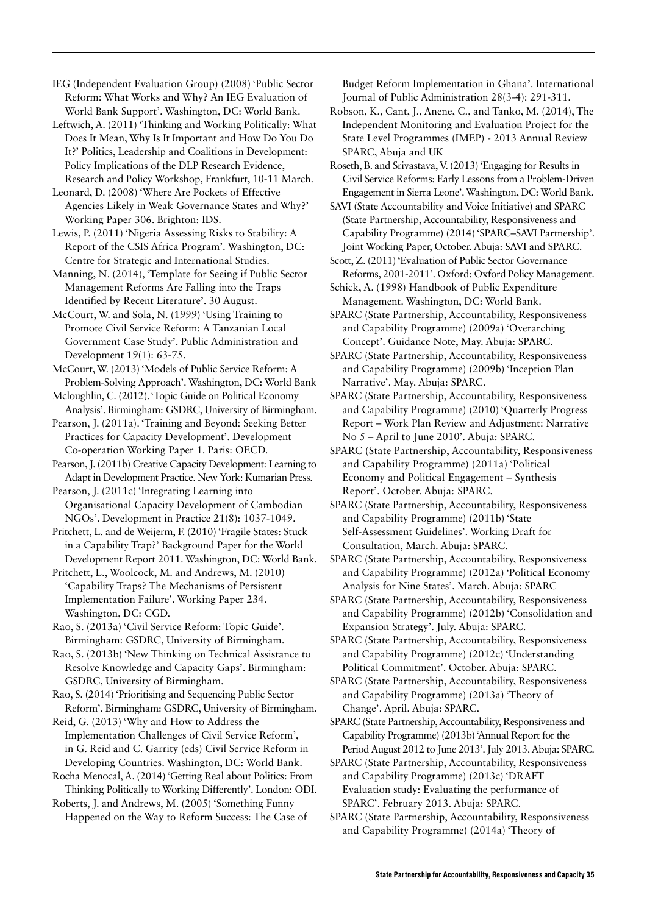IEG (Independent Evaluation Group) (2008) 'Public Sector Reform: What Works and Why? An IEG Evaluation of World Bank Support'. Washington, DC: World Bank.

Leftwich, A. (2011) 'Thinking and Working Politically: What Does It Mean, Why Is It Important and How Do You Do It?' Politics, Leadership and Coalitions in Development: Policy Implications of the DLP Research Evidence, Research and Policy Workshop, Frankfurt, 10-11 March.

Leonard, D. (2008) 'Where Are Pockets of Effective Agencies Likely in Weak Governance States and Why?' Working Paper 306. Brighton: IDS.

Lewis, P. (2011) 'Nigeria Assessing Risks to Stability: A Report of the CSIS Africa Program'. Washington, DC: Centre for Strategic and International Studies.

Manning, N. (2014), 'Template for Seeing if Public Sector Management Reforms Are Falling into the Traps Identified by Recent Literature'. 30 August.

McCourt, W. and Sola, N. (1999) 'Using Training to Promote Civil Service Reform: A Tanzanian Local Government Case Study'. Public Administration and Development 19(1): 63-75.

McCourt, W. (2013) 'Models of Public Service Reform: A Problem-Solving Approach'. Washington, DC: World Bank

Mcloughlin, C. (2012). 'Topic Guide on Political Economy Analysis'. Birmingham: GSDRC, University of Birmingham.

Pearson, J. (2011a). 'Training and Beyond: Seeking Better Practices for Capacity Development'. Development Co-operation Working Paper 1. Paris: OECD.

Pearson, J. (2011b) Creative Capacity Development: Learning to Adapt in Development Practice. New York: Kumarian Press.

Pearson, J. (2011c) 'Integrating Learning into Organisational Capacity Development of Cambodian NGOs'. Development in Practice 21(8): 1037-1049.

Pritchett, L. and de Weijerm, F. (2010) 'Fragile States: Stuck in a Capability Trap?' Background Paper for the World Development Report 2011. Washington, DC: World Bank.

Pritchett, L., Woolcock, M. and Andrews, M. (2010) 'Capability Traps? The Mechanisms of Persistent Implementation Failure'. Working Paper 234. Washington, DC: CGD.

Rao, S. (2013a) 'Civil Service Reform: Topic Guide'. Birmingham: GSDRC, University of Birmingham.

Rao, S. (2013b) 'New Thinking on Technical Assistance to Resolve Knowledge and Capacity Gaps'. Birmingham: GSDRC, University of Birmingham.

Rao, S. (2014) 'Prioritising and Sequencing Public Sector Reform'. Birmingham: GSDRC, University of Birmingham.

Reid, G. (2013) 'Why and How to Address the Implementation Challenges of Civil Service Reform', in G. Reid and C. Garrity (eds) Civil Service Reform in Developing Countries. Washington, DC: World Bank.

Rocha Menocal, A. (2014) 'Getting Real about Politics: From Thinking Politically to Working Differently'. London: ODI.

Roberts, J. and Andrews, M. (2005) 'Something Funny Happened on the Way to Reform Success: The Case of

Budget Reform Implementation in Ghana'. International Journal of Public Administration 28(3-4): 291-311.

Robson, K., Cant, J., Anene, C., and Tanko, M. (2014), The Independent Monitoring and Evaluation Project for the State Level Programmes (IMEP) - 2013 Annual Review SPARC, Abuja and UK

Roseth, B. and Srivastava, V. (2013) 'Engaging for Results in Civil Service Reforms: Early Lessons from a Problem-Driven Engagement in Sierra Leone'. Washington, DC: World Bank.

SAVI (State Accountability and Voice Initiative) and SPARC (State Partnership, Accountability, Responsiveness and Capability Programme) (2014) 'SPARC–SAVI Partnership'. Joint Working Paper, October. Abuja: SAVI and SPARC.

Scott, Z. (2011) 'Evaluation of Public Sector Governance Reforms, 2001-2011'. Oxford: Oxford Policy Management.

Schick, A. (1998) Handbook of Public Expenditure Management. Washington, DC: World Bank.

SPARC (State Partnership, Accountability, Responsiveness and Capability Programme) (2009a) 'Overarching Concept'. Guidance Note, May. Abuja: SPARC.

SPARC (State Partnership, Accountability, Responsiveness and Capability Programme) (2009b) 'Inception Plan Narrative'. May. Abuja: SPARC.

SPARC (State Partnership, Accountability, Responsiveness and Capability Programme) (2010) 'Quarterly Progress Report – Work Plan Review and Adjustment: Narrative No 5 – April to June 2010'. Abuja: SPARC.

SPARC (State Partnership, Accountability, Responsiveness and Capability Programme) (2011a) 'Political Economy and Political Engagement – Synthesis Report'. October. Abuja: SPARC.

SPARC (State Partnership, Accountability, Responsiveness and Capability Programme) (2011b) 'State Self-Assessment Guidelines'. Working Draft for Consultation, March. Abuja: SPARC.

SPARC (State Partnership, Accountability, Responsiveness and Capability Programme) (2012a) 'Political Economy Analysis for Nine States'. March. Abuja: SPARC

SPARC (State Partnership, Accountability, Responsiveness and Capability Programme) (2012b) 'Consolidation and Expansion Strategy'. July. Abuja: SPARC.

SPARC (State Partnership, Accountability, Responsiveness and Capability Programme) (2012c) 'Understanding Political Commitment'. October. Abuja: SPARC.

SPARC (State Partnership, Accountability, Responsiveness and Capability Programme) (2013a) 'Theory of Change'. April. Abuja: SPARC.

SPARC (State Partnership, Accountability, Responsiveness and Capability Programme) (2013b) 'Annual Report for the Period August 2012 to June 2013'. July 2013. Abuja: SPARC.

SPARC (State Partnership, Accountability, Responsiveness and Capability Programme) (2013c) 'DRAFT Evaluation study: Evaluating the performance of SPARC'. February 2013. Abuja: SPARC.

SPARC (State Partnership, Accountability, Responsiveness and Capability Programme) (2014a) 'Theory of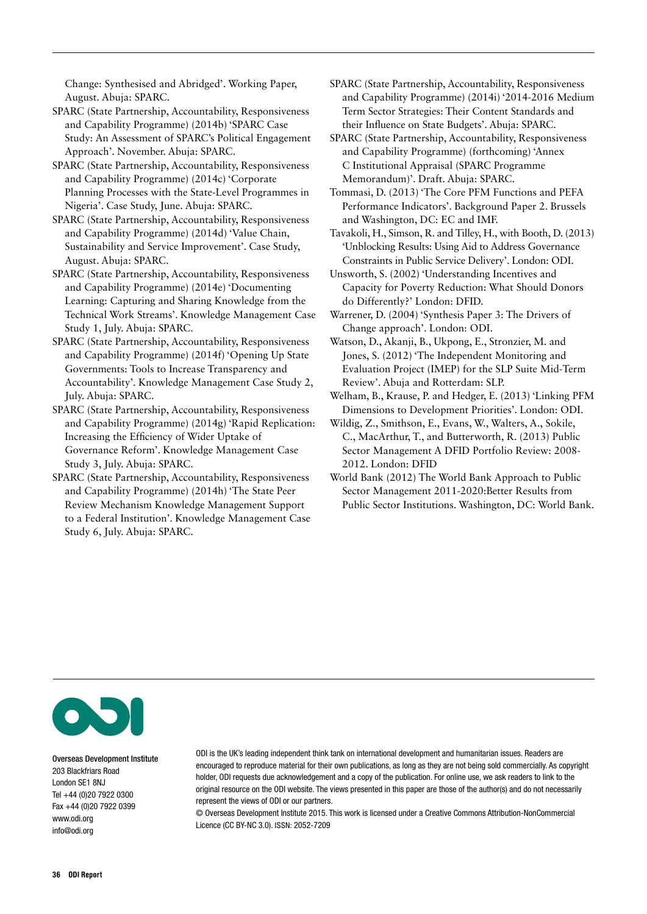Change: Synthesised and Abridged'. Working Paper, August. Abuja: SPARC.

SPARC (State Partnership, Accountability, Responsiveness and Capability Programme) (2014b) 'SPARC Case Study: An Assessment of SPARC's Political Engagement Approach'. November. Abuja: SPARC.

SPARC (State Partnership, Accountability, Responsiveness and Capability Programme) (2014c) 'Corporate Planning Processes with the State-Level Programmes in Nigeria'. Case Study, June. Abuja: SPARC.

SPARC (State Partnership, Accountability, Responsiveness and Capability Programme) (2014d) 'Value Chain, Sustainability and Service Improvement'. Case Study, August. Abuja: SPARC.

SPARC (State Partnership, Accountability, Responsiveness and Capability Programme) (2014e) 'Documenting Learning: Capturing and Sharing Knowledge from the Technical Work Streams'. Knowledge Management Case Study 1, July. Abuja: SPARC.

SPARC (State Partnership, Accountability, Responsiveness and Capability Programme) (2014f) 'Opening Up State Governments: Tools to Increase Transparency and Accountability'. Knowledge Management Case Study 2, July. Abuja: SPARC.

SPARC (State Partnership, Accountability, Responsiveness and Capability Programme) (2014g) 'Rapid Replication: Increasing the Efficiency of Wider Uptake of Governance Reform'. Knowledge Management Case Study 3, July. Abuja: SPARC.

SPARC (State Partnership, Accountability, Responsiveness and Capability Programme) (2014h) 'The State Peer Review Mechanism Knowledge Management Support to a Federal Institution'. Knowledge Management Case Study 6, July. Abuja: SPARC.

SPARC (State Partnership, Accountability, Responsiveness and Capability Programme) (2014i) '2014-2016 Medium Term Sector Strategies: Their Content Standards and their Influence on State Budgets'. Abuja: SPARC.

SPARC (State Partnership, Accountability, Responsiveness and Capability Programme) (forthcoming) 'Annex C Institutional Appraisal (SPARC Programme Memorandum)'. Draft. Abuja: SPARC.

Tommasi, D. (2013) 'The Core PFM Functions and PEFA Performance Indicators'. Background Paper 2. Brussels and Washington, DC: EC and IMF.

Tavakoli, H., Simson, R. and Tilley, H., with Booth, D. (2013) 'Unblocking Results: Using Aid to Address Governance Constraints in Public Service Delivery'. London: ODI.

Unsworth, S. (2002) 'Understanding Incentives and Capacity for Poverty Reduction: What Should Donors do Differently?' London: DFID.

Warrener, D. (2004) 'Synthesis Paper 3: The Drivers of Change approach'. London: ODI.

Watson, D., Akanji, B., Ukpong, E., Stronzier, M. and Jones, S. (2012) 'The Independent Monitoring and Evaluation Project (IMEP) for the SLP Suite Mid-Term Review'. Abuja and Rotterdam: SLP.

Welham, B., Krause, P. and Hedger, E. (2013) 'Linking PFM Dimensions to Development Priorities'. London: ODI.

Wildig, Z., Smithson, E., Evans, W., Walters, A., Sokile, C., MacArthur, T., and Butterworth, R. (2013) Public Sector Management A DFID Portfolio Review: 2008- 2012. London: DFID

World Bank (2012) The World Bank Approach to Public Sector Management 2011-2020:Better Results from Public Sector Institutions. Washington, DC: World Bank.



Overseas Development Institute 203 Blackfriars Road London SE1 8NJ Tel +44 (0)20 7922 0300 Fax +44 (0)20 7922 0399 <www.odi.org> [info@odi.org](mailto:info@odi.org)

ODI is the UK's leading independent think tank on international development and humanitarian issues. Readers are encouraged to reproduce material for their own publications, as long as they are not being sold commercially. As copyright holder, ODI requests due acknowledgement and a copy of the publication. For online use, we ask readers to link to the original resource on the ODI website. The views presented in this paper are those of the author(s) and do not necessarily represent the views of ODI or our partners.

© Overseas Development Institute 2015. This work is licensed under a Creative Commons Attribution-NonCommercial Licence (CC BY-NC 3.0). ISSN: 2052-7209